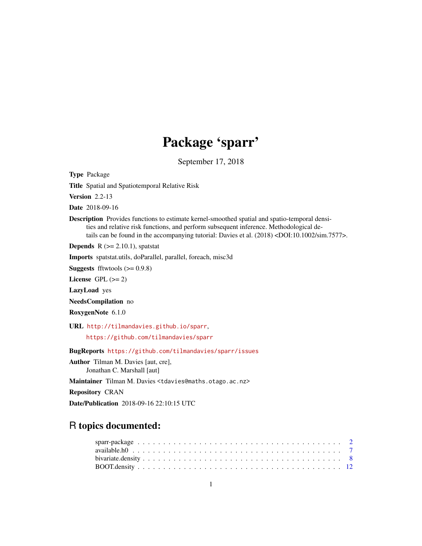# Package 'sparr'

September 17, 2018

<span id="page-0-0"></span>Type Package

Title Spatial and Spatiotemporal Relative Risk

Version 2.2-13

Date 2018-09-16

Description Provides functions to estimate kernel-smoothed spatial and spatio-temporal densities and relative risk functions, and perform subsequent inference. Methodological details can be found in the accompanying tutorial: Davies et al. (2018) <DOI:10.1002/sim.7577>.

**Depends**  $R$  ( $>= 2.10.1$ ), spatstat

Imports spatstat.utils, doParallel, parallel, foreach, misc3d

**Suggests** fftwtools  $(>= 0.9.8)$ 

License GPL  $(>= 2)$ 

LazyLoad yes

NeedsCompilation no

RoxygenNote 6.1.0

URL <http://tilmandavies.github.io/sparr>,

<https://github.com/tilmandavies/sparr>

BugReports <https://github.com/tilmandavies/sparr/issues>

Author Tilman M. Davies [aut, cre], Jonathan C. Marshall [aut]

Maintainer Tilman M. Davies <tdavies@maths.otago.ac.nz>

Repository CRAN

Date/Publication 2018-09-16 22:10:15 UTC

## R topics documented: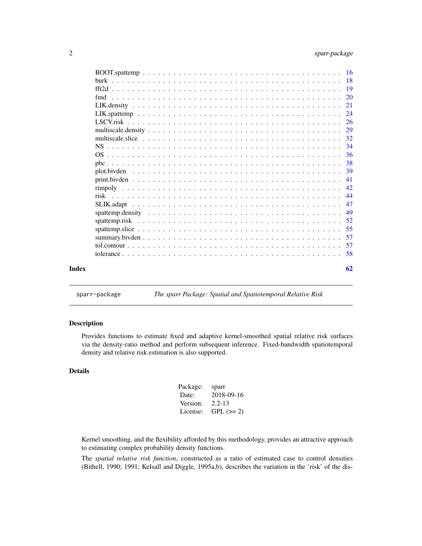<span id="page-1-0"></span>

|  | -26 |
|--|-----|
|  |     |
|  | -32 |
|  | -34 |
|  | -36 |
|  | -38 |
|  | 39  |
|  |     |
|  | 42  |
|  | -44 |
|  | 47  |
|  |     |
|  | 52  |
|  | 55  |
|  | 57  |
|  |     |
|  |     |
|  | 62  |

sparr-package *The sparr Package: Spatial and Spatiotemporal Relative Risk*

## <span id="page-1-1"></span>Description

Provides functions to estimate fixed and adaptive kernel-smoothed spatial relative risk surfaces via the density-ratio method and perform subsequent inference. Fixed-bandwidth spatiotemporal density and relative risk estimation is also supported.

## Details

| Package: | sparr      |
|----------|------------|
| Date:    | 2018-09-16 |
| Version: | $2.2 - 13$ |
| License: | $GPL (=2)$ |

Kernel smoothing, and the flexibility afforded by this methodology, provides an attractive approach to estimating complex probability density functions.

The *spatial relative risk function*, constructed as a ratio of estimated case to control densities (Bithell, 1990; 1991; Kelsall and Diggle, 1995a,b), describes the variation in the 'risk' of the dis-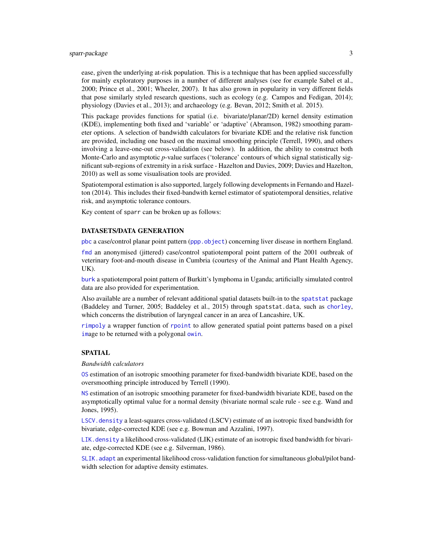## <span id="page-2-0"></span>sparr-package 3

ease, given the underlying at-risk population. This is a technique that has been applied successfully for mainly exploratory purposes in a number of different analyses (see for example Sabel et al., 2000; Prince et al., 2001; Wheeler, 2007). It has also grown in popularity in very different fields that pose similarly styled research questions, such as ecology (e.g. Campos and Fedigan, 2014); physiology (Davies et al., 2013); and archaeology (e.g. Bevan, 2012; Smith et al. 2015).

This package provides functions for spatial (i.e. bivariate/planar/2D) kernel density estimation (KDE), implementing both fixed and 'variable' or 'adaptive' (Abramson, 1982) smoothing parameter options. A selection of bandwidth calculators for bivariate KDE and the relative risk function are provided, including one based on the maximal smoothing principle (Terrell, 1990), and others involving a leave-one-out cross-validation (see below). In addition, the ability to construct both Monte-Carlo and asymptotic *p*-value surfaces ('tolerance' contours of which signal statistically significant sub-regions of extremity in a risk surface - Hazelton and Davies, 2009; Davies and Hazelton, 2010) as well as some visualisation tools are provided.

Spatiotemporal estimation is also supported, largely following developments in Fernando and Hazelton (2014). This includes their fixed-bandwith kernel estimator of spatiotemporal densities, relative risk, and asymptotic tolerance contours.

Key content of sparr can be broken up as follows:

#### DATASETS/DATA GENERATION

[pbc](#page-37-1) a case/control planar point pattern ([ppp.object](#page-0-0)) concerning liver disease in northern England.

[fmd](#page-19-1) an anonymised (jittered) case/control spatiotemporal point pattern of the 2001 outbreak of veterinary foot-and-mouth disease in Cumbria (courtesy of the Animal and Plant Health Agency, UK).

[burk](#page-17-1) a spatiotemporal point pattern of Burkitt's lymphoma in Uganda; artificially simulated control data are also provided for experimentation.

Also available are a number of relevant additional spatial datasets built-in to the [spatstat](#page-0-0) package (Baddeley and Turner, 2005; Baddeley et al., 2015) through spatstat.data, such as [chorley](#page-0-0), which concerns the distribution of laryngeal cancer in an area of Lancashire, UK.

[rimpoly](#page-41-1) a wrapper function of [rpoint](#page-0-0) to allow generated spatial point patterns based on a pixel [im](#page-0-0)age to be returned with a polygonal [owin](#page-0-0).

#### SPATIAL

*Bandwidth calculators*

[OS](#page-35-1) estimation of an isotropic smoothing parameter for fixed-bandwidth bivariate KDE, based on the oversmoothing principle introduced by Terrell (1990).

[NS](#page-33-1) estimation of an isotropic smoothing parameter for fixed-bandwidth bivariate KDE, based on the asymptotically optimal value for a normal density (bivariate normal scale rule - see e.g. Wand and Jones, 1995).

[LSCV.density](#page-20-1) a least-squares cross-validated (LSCV) estimate of an isotropic fixed bandwidth for bivariate, edge-corrected KDE (see e.g. Bowman and Azzalini, 1997).

[LIK.density](#page-20-2) a likelihood cross-validated (LIK) estimate of an isotropic fixed bandwidth for bivariate, edge-corrected KDE (see e.g. Silverman, 1986).

SLIK. adapt an experimental likelihood cross-validation function for simultaneous global/pilot bandwidth selection for adaptive density estimates.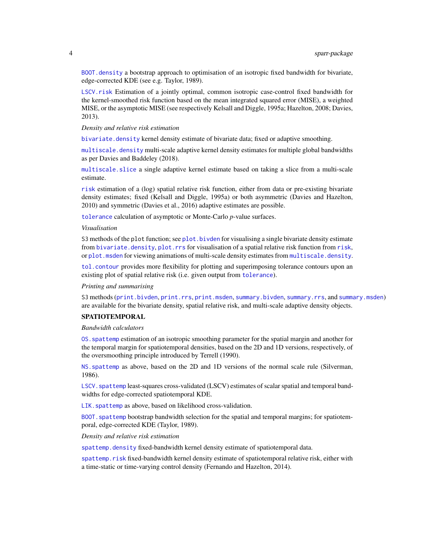<span id="page-3-0"></span>[BOOT.density](#page-11-1) a bootstrap approach to optimisation of an isotropic fixed bandwidth for bivariate, edge-corrected KDE (see e.g. Taylor, 1989).

[LSCV.risk](#page-25-1) Estimation of a jointly optimal, common isotropic case-control fixed bandwidth for the kernel-smoothed risk function based on the mean integrated squared error (MISE), a weighted MISE, or the asymptotic MISE (see respectively Kelsall and Diggle, 1995a; Hazelton, 2008; Davies, 2013).

*Density and relative risk estimation*

[bivariate.density](#page-7-1) kernel density estimate of bivariate data; fixed or adaptive smoothing.

[multiscale.density](#page-28-1) multi-scale adaptive kernel density estimates for multiple global bandwidths as per Davies and Baddeley (2018).

[multiscale.slice](#page-31-1) a single adaptive kernel estimate based on taking a slice from a multi-scale estimate.

[risk](#page-43-1) estimation of a (log) spatial relative risk function, either from data or pre-existing bivariate density estimates; fixed (Kelsall and Diggle, 1995a) or both asymmetric (Davies and Hazelton, 2010) and symmetric (Davies et al., 2016) adaptive estimates are possible.

[tolerance](#page-57-1) calculation of asymptotic or Monte-Carlo *p*-value surfaces.

#### *Visualisation*

S3 methods of the plot function; see plot. bivden for visualising a single bivariate density estimate from [bivariate.density](#page-7-1), [plot.rrs](#page-38-2) for visualisation of a spatial relative [risk](#page-43-1) function from risk, or plot. msden for viewing animations of multi-scale density estimates from multiscale. density.

[tol.contour](#page-56-1) provides more flexibility for plotting and superimposing tolerance contours upon an existing plot of spatial relative risk (i.e. given output from [tolerance](#page-57-1)).

#### *Printing and summarising*

S3 methods ([print.bivden](#page-40-1), [print.rrs](#page-40-2), [print.msden](#page-40-2), [summary.bivden](#page-56-2), [summary.rrs](#page-56-3), and [summary.msden](#page-56-3)) are available for the bivariate density, spatial relative risk, and multi-scale adaptive density objects.

#### SPATIOTEMPORAL

#### *Bandwidth calculators*

[OS.spattemp](#page-35-2) estimation of an isotropic smoothing parameter for the spatial margin and another for the temporal margin for spatiotemporal densities, based on the 2D and 1D versions, respectively, of the oversmoothing principle introduced by Terrell (1990).

[NS.spattemp](#page-33-2) as above, based on the 2D and 1D versions of the normal scale rule (Silverman, 1986).

LSCV. spattemp least-squares cross-validated (LSCV) estimates of scalar spatial and temporal bandwidths for edge-corrected spatiotemporal KDE.

LIK. spattemp as above, based on likelihood cross-validation.

[BOOT.spattemp](#page-15-1) bootstrap bandwidth selection for the spatial and temporal margins; for spatiotemporal, edge-corrected KDE (Taylor, 1989).

#### *Density and relative risk estimation*

[spattemp.density](#page-48-1) fixed-bandwidth kernel density estimate of spatiotemporal data.

[spattemp.risk](#page-51-1) fixed-bandwidth kernel density estimate of spatiotemporal relative risk, either with a time-static or time-varying control density (Fernando and Hazelton, 2014).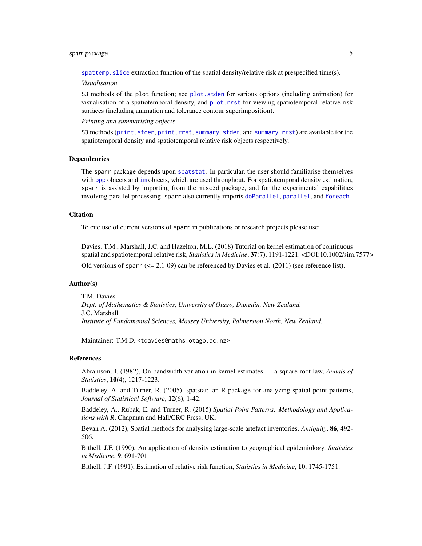## <span id="page-4-0"></span>sparr-package 5

[spattemp.slice](#page-54-1) extraction function of the spatial density/relative risk at prespecified time(s).

#### *Visualisation*

S3 methods of the plot function; see plot. stden for various options (including animation) for visualisation of a spatiotemporal density, and [plot.rrst](#page-38-2) for viewing spatiotemporal relative risk surfaces (including animation and tolerance contour superimposition).

*Printing and summarising objects*

S3 methods ([print.stden](#page-40-2), [print.rrst](#page-40-2), [summary.stden](#page-56-3), and [summary.rrst](#page-56-3)) are available for the spatiotemporal density and spatiotemporal relative risk objects respectively.

## Dependencies

The sparr package depends upon [spatstat](#page-0-0). In particular, the user should familiarise themselves with [ppp](#page-0-0) objects and [im](#page-0-0) objects, which are used throughout. For spatiotemporal density estimation, sparr is assisted by importing from the misc3d package, and for the experimental capabilities involving parallel processing, sparr also currently imports [doParallel](#page-0-0), [parallel](#page-0-0), and [foreach](#page-0-0).

#### Citation

To cite use of current versions of sparr in publications or research projects please use:

Davies, T.M., Marshall, J.C. and Hazelton, M.L. (2018) Tutorial on kernel estimation of continuous spatial and spatiotemporal relative risk, *Statistics in Medicine*, 37(7), 1191-1221. <DOI:10.1002/sim.7577> Old versions of sparr  $\left( \leq 2.1 \cdot 0.09 \right)$  can be referenced by Davies et al. (2011) (see reference list).

#### Author(s)

T.M. Davies *Dept. of Mathematics & Statistics, University of Otago, Dunedin, New Zealand.* J.C. Marshall *Institute of Fundamantal Sciences, Massey University, Palmerston North, New Zealand.*

Maintainer: T.M.D. <tdavies@maths.otago.ac.nz>

#### References

Abramson, I. (1982), On bandwidth variation in kernel estimates — a square root law, *Annals of Statistics*, 10(4), 1217-1223.

Baddeley, A. and Turner, R. (2005), spatstat: an R package for analyzing spatial point patterns, *Journal of Statistical Software*, 12(6), 1-42.

Baddeley, A., Rubak, E. and Turner, R. (2015) *Spatial Point Patterns: Methodology and Applications with R*, Chapman and Hall/CRC Press, UK.

Bevan A. (2012), Spatial methods for analysing large-scale artefact inventories. *Antiquity*, 86, 492- 506.

Bithell, J.F. (1990), An application of density estimation to geographical epidemiology, *Statistics in Medicine*, 9, 691-701.

Bithell, J.F. (1991), Estimation of relative risk function, *Statistics in Medicine*, 10, 1745-1751.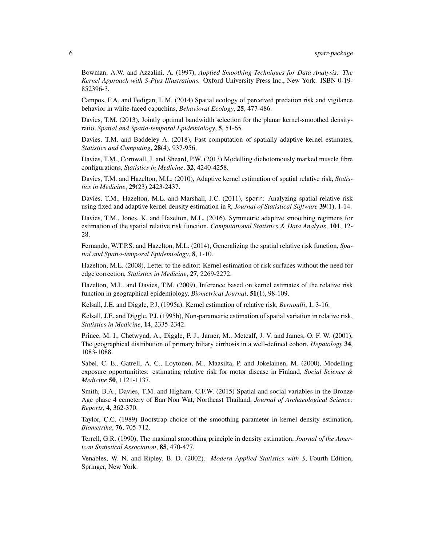Bowman, A.W. and Azzalini, A. (1997), *Applied Smoothing Techniques for Data Analysis: The Kernel Approach with S-Plus Illustrations.* Oxford University Press Inc., New York. ISBN 0-19- 852396-3.

Campos, F.A. and Fedigan, L.M. (2014) Spatial ecology of perceived predation risk and vigilance behavior in white-faced capuchins, *Behavioral Ecology*, 25, 477-486.

Davies, T.M. (2013), Jointly optimal bandwidth selection for the planar kernel-smoothed densityratio, *Spatial and Spatio-temporal Epidemiology*, 5, 51-65.

Davies, T.M. and Baddeley A. (2018), Fast computation of spatially adaptive kernel estimates, *Statistics and Computing*, 28(4), 937-956.

Davies, T.M., Cornwall, J. and Sheard, P.W. (2013) Modelling dichotomously marked muscle fibre configurations, *Statistics in Medicine*, 32, 4240-4258.

Davies, T.M. and Hazelton, M.L. (2010), Adaptive kernel estimation of spatial relative risk, *Statistics in Medicine*, 29(23) 2423-2437.

Davies, T.M., Hazelton, M.L. and Marshall, J.C. (2011), sparr: Analyzing spatial relative risk using fixed and adaptive kernel density estimation in R, *Journal of Statistical Software* 39(1), 1-14.

Davies, T.M., Jones, K. and Hazelton, M.L. (2016), Symmetric adaptive smoothing regimens for estimation of the spatial relative risk function, *Computational Statistics & Data Analysis*, 101, 12- 28.

Fernando, W.T.P.S. and Hazelton, M.L. (2014), Generalizing the spatial relative risk function, *Spatial and Spatio-temporal Epidemiology*, 8, 1-10.

Hazelton, M.L. (2008), Letter to the editor: Kernel estimation of risk surfaces without the need for edge correction, *Statistics in Medicine*, 27, 2269-2272.

Hazelton, M.L. and Davies, T.M. (2009), Inference based on kernel estimates of the relative risk function in geographical epidemiology, *Biometrical Journal*, 51(1), 98-109.

Kelsall, J.E. and Diggle, P.J. (1995a), Kernel estimation of relative risk, *Bernoulli*, 1, 3-16.

Kelsall, J.E. and Diggle, P.J. (1995b), Non-parametric estimation of spatial variation in relative risk, *Statistics in Medicine*, 14, 2335-2342.

Prince, M. I., Chetwynd, A., Diggle, P. J., Jarner, M., Metcalf, J. V. and James, O. F. W. (2001), The geographical distribution of primary biliary cirrhosis in a well-defined cohort, *Hepatology* 34, 1083-1088.

Sabel, C. E., Gatrell, A. C., Loytonen, M., Maasilta, P. and Jokelainen, M. (2000), Modelling exposure opportunitites: estimating relative risk for motor disease in Finland, *Social Science & Medicine* 50, 1121-1137.

Smith, B.A., Davies, T.M. and Higham, C.F.W. (2015) Spatial and social variables in the Bronze Age phase 4 cemetery of Ban Non Wat, Northeast Thailand, *Journal of Archaeological Science: Reports*, 4, 362-370.

Taylor, C.C. (1989) Bootstrap choice of the smoothing parameter in kernel density estimation, *Biometrika*, 76, 705-712.

Terrell, G.R. (1990), The maximal smoothing principle in density estimation, *Journal of the American Statistical Association*, 85, 470-477.

Venables, W. N. and Ripley, B. D. (2002). *Modern Applied Statistics with S*, Fourth Edition, Springer, New York.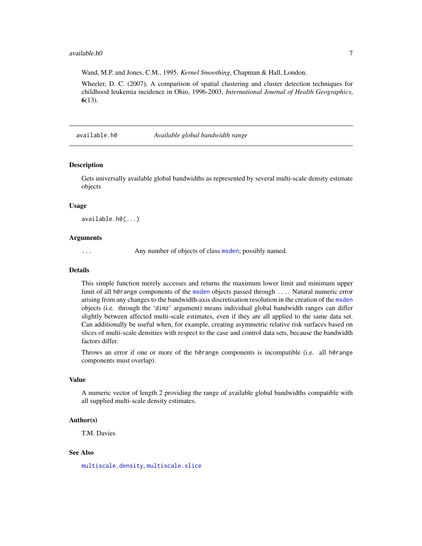#### <span id="page-6-0"></span>available.h0 7

Wand, M.P. and Jones, C.M., 1995. *Kernel Smoothing*, Chapman & Hall, London.

Wheeler, D. C. (2007), A comparison of spatial clustering and cluster detection techniques for childhood leukemia incidence in Ohio, 1996-2003, *International Journal of Health Geographics*, 6(13).

available.h0 *Available global bandwidth range*

## Description

Gets universally available global bandwidths as represented by several multi-scale density estimate objects

#### Usage

available.h0(...)

#### Arguments

... Any number of objects of class [msden](#page-28-2); possibly named.

## Details

This simple function merely accesses and returns the maximum lower limit and minimum upper limit of all h0range components of the [msden](#page-28-2) objects passed through .... Natural numeric error arising from any changes to the bandwidth-axis discretisation resolution in the creation of the [msden](#page-28-2) objects (i.e. through the 'dimz' argument) means individual global bandwidth ranges can differ slightly between affected multi-scale estimates, even if they are all applied to the same data set. Can additionally be useful when, for example, creating asymmetric relative risk surfaces based on slices of multi-scale densities with respect to the case and control data sets, because the bandwidth factors differ.

Throws an error if one or more of the h0range components is incompatible (i.e. all h0range components must overlap).

#### Value

A numeric vector of length 2 providing the range of available global bandwidths compatible with all supplied multi-scale density estimates.

#### Author(s)

T.M. Davies

## See Also

[multiscale.density](#page-28-1), [multiscale.slice](#page-31-1)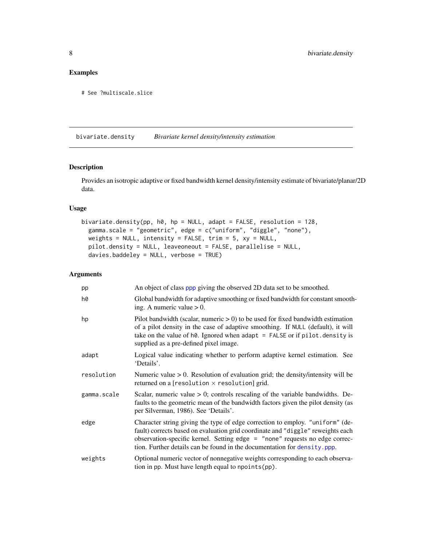## <span id="page-7-0"></span>Examples

```
# See ?multiscale.slice
```
<span id="page-7-1"></span>bivariate.density *Bivariate kernel density/intensity estimation*

## <span id="page-7-2"></span>Description

Provides an isotropic adaptive or fixed bandwidth kernel density/intensity estimate of bivariate/planar/2D data.

## Usage

```
bivariate.density(pp, h0, hp = NULL, adapt = FALSE, resolution = 128,
  gamma.scale = "geometric", edge = c("uniform", "diggle", "none"),
 weights = NULL, intensity = FALSE, trim = 5, xy = NULL,
 pilot.density = NULL, leaveoneout = FALSE, parallelise = NULL,
  davies.baddeley = NULL, verbose = TRUE)
```

| pp          | An object of class ppp giving the observed 2D data set to be smoothed.                                                                                                                                                                                                                                                       |
|-------------|------------------------------------------------------------------------------------------------------------------------------------------------------------------------------------------------------------------------------------------------------------------------------------------------------------------------------|
| h0          | Global bandwidth for adaptive smoothing or fixed bandwidth for constant smooth-<br>ing. A numeric value $> 0$ .                                                                                                                                                                                                              |
| hp          | Pilot bandwidth (scalar, numeric $> 0$ ) to be used for fixed bandwidth estimation<br>of a pilot density in the case of adaptive smoothing. If NULL (default), it will<br>take on the value of $h\theta$ . Ignored when adapt = FALSE or if pilot. density is<br>supplied as a pre-defined pixel image.                      |
| adapt       | Logical value indicating whether to perform adaptive kernel estimation. See<br>'Details'.                                                                                                                                                                                                                                    |
| resolution  | Numeric value $> 0$ . Resolution of evaluation grid; the density/intensity will be<br>returned on a [resolution $\times$ resolution] grid.                                                                                                                                                                                   |
| gamma.scale | Scalar, numeric value $> 0$ ; controls rescaling of the variable bandwidths. De-<br>faults to the geometric mean of the bandwidth factors given the pilot density (as<br>per Silverman, 1986). See 'Details'.                                                                                                                |
| edge        | Character string giving the type of edge correction to employ. "uniform" (de-<br>fault) corrects based on evaluation grid coordinate and "diggle" reweights each<br>observation-specific kernel. Setting edge = "none" requests no edge correc-<br>tion. Further details can be found in the documentation for density. ppp. |
| weights     | Optional numeric vector of nonnegative weights corresponding to each observa-<br>tion in pp. Must have length equal to npoints (pp).                                                                                                                                                                                         |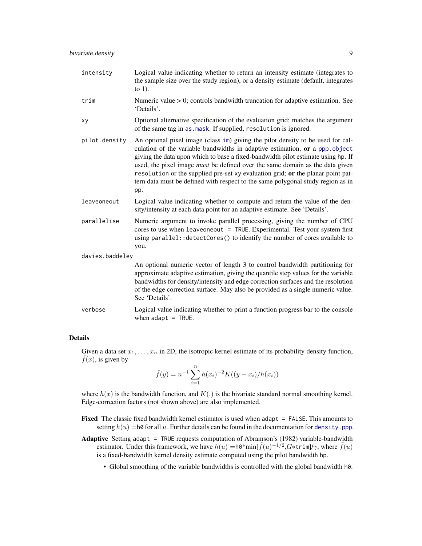<span id="page-8-0"></span>

| intensity       | Logical value indicating whether to return an intensity estimate (integrates to<br>the sample size over the study region), or a density estimate (default, integrates<br>to $1$ ).                                                                                                                                                                                                                                                                                                                                     |
|-----------------|------------------------------------------------------------------------------------------------------------------------------------------------------------------------------------------------------------------------------------------------------------------------------------------------------------------------------------------------------------------------------------------------------------------------------------------------------------------------------------------------------------------------|
| trim            | Numeric value $> 0$ ; controls bandwidth truncation for adaptive estimation. See<br>'Details'.                                                                                                                                                                                                                                                                                                                                                                                                                         |
| xy              | Optional alternative specification of the evaluation grid; matches the argument<br>of the same tag in as mask. If supplied, resolution is ignored.                                                                                                                                                                                                                                                                                                                                                                     |
| pilot.density   | An optional pixel image (class im) giving the pilot density to be used for cal-<br>culation of the variable bandwidths in adaptive estimation, or a ppp.object<br>giving the data upon which to base a fixed-bandwidth pilot estimate using hp. If<br>used, the pixel image <i>must</i> be defined over the same domain as the data given<br>resolution or the supplied pre-set xy evaluation grid; or the planar point pat-<br>tern data must be defined with respect to the same polygonal study region as in<br>pp. |
| leaveoneout     | Logical value indicating whether to compute and return the value of the den-<br>sity/intensity at each data point for an adaptive estimate. See 'Details'.                                                                                                                                                                                                                                                                                                                                                             |
| parallelise     | Numeric argument to invoke parallel processing, giving the number of CPU<br>cores to use when leaveoneout = TRUE. Experimental. Test your system first<br>using parallel:: detectCores() to identify the number of cores available to<br>you.                                                                                                                                                                                                                                                                          |
| davies.baddeley |                                                                                                                                                                                                                                                                                                                                                                                                                                                                                                                        |
|                 | An optional numeric vector of length 3 to control bandwidth partitioning for<br>approximate adaptive estimation, giving the quantile step values for the variable<br>handwidths for density/intensity and edge correction surfaces and the resolution                                                                                                                                                                                                                                                                  |

approximate adaptive estimation, giving the quantile step values for the variable bandwidths for density/intensity and edge correction surfaces and the resolution of the edge correction surface. May also be provided as a single numeric value. See 'Details'.

verbose Logical value indicating whether to print a function progress bar to the console when  $adapt = TRUE$ .

## Details

da

Given a data set  $x_1, \ldots, x_n$  in 2D, the isotropic kernel estimate of its probability density function,  $f(x)$ , is given by

$$
\hat{f}(y) = n^{-1} \sum_{i=1}^{n} h(x_i)^{-2} K((y - x_i)/h(x_i))
$$

where  $h(x)$  is the bandwidth function, and  $K(.)$  is the bivariate standard normal smoothing kernel. Edge-correction factors (not shown above) are also implemented.

- Fixed The classic fixed bandwidth kernel estimator is used when adapt = FALSE. This amounts to setting  $h(u) = h\Theta$  for all u. Further details can be found in the documentation for density. ppp.
- Adaptive Setting adapt = TRUE requests computation of Abramson's (1982) variable-bandwidth estimator. Under this framework, we have  $h(u) = h0^*$ min $[\tilde{f}(u)^{-1/2}, G^*$ trim]/ $\gamma$ , where  $\tilde{f}(u)$ is a fixed-bandwidth kernel density estimate computed using the pilot bandwidth hp.
	- Global smoothing of the variable bandwidths is controlled with the global bandwidth h0.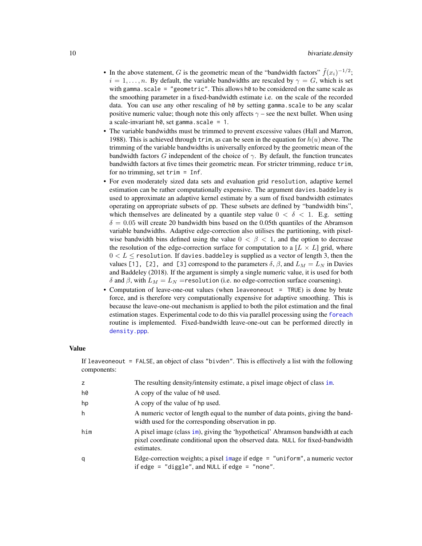- <span id="page-9-0"></span>• In the above statement, G is the geometric mean of the "bandwidth factors"  $\tilde{f}(x_i)^{-1/2}$ ;  $i = 1, \ldots, n$ . By default, the variable bandwidths are rescaled by  $\gamma = G$ , which is set with gamma.scale = "geometric". This allows h0 to be considered on the same scale as the smoothing parameter in a fixed-bandwidth estimate i.e. on the scale of the recorded data. You can use any other rescaling of h0 by setting gamma.scale to be any scalar positive numeric value; though note this only affects  $\gamma$  – see the next bullet. When using a scale-invariant  $h\theta$ , set gamma.scale = 1.
- The variable bandwidths must be trimmed to prevent excessive values (Hall and Marron, 1988). This is achieved through trim, as can be seen in the equation for  $h(u)$  above. The trimming of the variable bandwidths is universally enforced by the geometric mean of the bandwidth factors G independent of the choice of  $\gamma$ . By default, the function truncates bandwidth factors at five times their geometric mean. For stricter trimming, reduce trim, for no trimming, set trim = Inf.
- For even moderately sized data sets and evaluation grid resolution, adaptive kernel estimation can be rather computationally expensive. The argument davies.baddeley is used to approximate an adaptive kernel estimate by a sum of fixed bandwidth estimates operating on appropriate subsets of pp. These subsets are defined by "bandwidth bins", which themselves are delineated by a quantile step value  $0 < \delta < 1$ . E.g. setting  $\delta = 0.05$  will create 20 bandwidth bins based on the 0.05th quantiles of the Abramson variable bandwidths. Adaptive edge-correction also utilises the partitioning, with pixelwise bandwidth bins defined using the value  $0 < \beta < 1$ , and the option to decrease the resolution of the edge-correction surface for computation to a  $[L \times L]$  grid, where  $0 < L \le$  resolution. If davies baddeley is supplied as a vector of length 3, then the values [1], [2], and [3] correspond to the parameters  $\delta$ ,  $\beta$ , and  $L_M = L_N$  in Davies and Baddeley (2018). If the argument is simply a single numeric value, it is used for both δ and β, with  $L_M = L_N$  = resolution (i.e. no edge-correction surface coarsening).
- Computation of leave-one-out values (when leaveoneout = TRUE) is done by brute force, and is therefore very computationally expensive for adaptive smoothing. This is because the leave-one-out mechanism is applied to both the pilot estimation and the final estimation stages. Experimental code to do this via parallel processing using the [foreach](#page-0-0) routine is implemented. Fixed-bandwidth leave-one-out can be performed directly in [density.ppp](#page-0-0).

## Value

If leaveoneout = FALSE, an object of class "bivden". This is effectively a list with the following components:

| z   | The resulting density/intensity estimate, a pixel image object of class im.                                                                                                   |
|-----|-------------------------------------------------------------------------------------------------------------------------------------------------------------------------------|
| h0  | A copy of the value of h0 used.                                                                                                                                               |
| hp  | A copy of the value of hp used.                                                                                                                                               |
| h   | A numeric vector of length equal to the number of data points, giving the band-<br>width used for the corresponding observation in pp.                                        |
| him | A pixel image (class im), giving the 'hypothetical' Abramson bandwidth at each<br>pixel coordinate conditional upon the observed data. NULL for fixed-bandwidth<br>estimates. |
| q   | Edge-correction weights; a pixel image if edge = $"$ uniform", a numeric vector<br>if edge $=$ "diggle", and NULL if edge $=$ "none".                                         |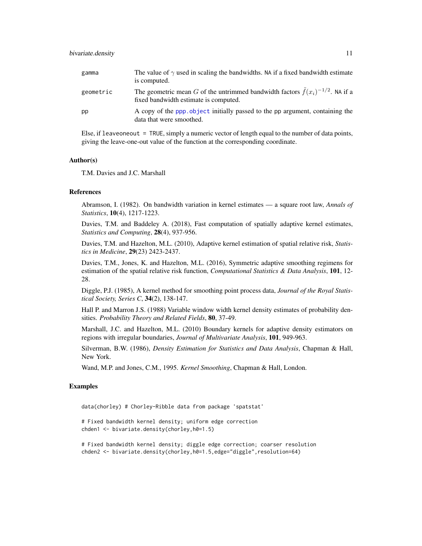#### <span id="page-10-0"></span>bivariate.density 11

| gamma     | The value of $\gamma$ used in scaling the bandwidths. NA if a fixed bandwidth estimate<br>is computed.                             |
|-----------|------------------------------------------------------------------------------------------------------------------------------------|
| geometric | The geometric mean G of the untrimmed bandwidth factors $\tilde{f}(x_i)^{-1/2}$ . NA if a<br>fixed bandwidth estimate is computed. |
| pp        | A copy of the ppp object initially passed to the pp argument, containing the<br>data that were smoothed.                           |

Else, if leaveoneout  $=$  TRUE, simply a numeric vector of length equal to the number of data points, giving the leave-one-out value of the function at the corresponding coordinate.

#### Author(s)

T.M. Davies and J.C. Marshall

#### **References**

Abramson, I. (1982). On bandwidth variation in kernel estimates — a square root law, *Annals of Statistics*, 10(4), 1217-1223.

Davies, T.M. and Baddeley A. (2018), Fast computation of spatially adaptive kernel estimates, *Statistics and Computing*, 28(4), 937-956.

Davies, T.M. and Hazelton, M.L. (2010), Adaptive kernel estimation of spatial relative risk, *Statistics in Medicine*, 29(23) 2423-2437.

Davies, T.M., Jones, K. and Hazelton, M.L. (2016), Symmetric adaptive smoothing regimens for estimation of the spatial relative risk function, *Computational Statistics & Data Analysis*, 101, 12- 28.

Diggle, P.J. (1985), A kernel method for smoothing point process data, *Journal of the Royal Statistical Society, Series C*, 34(2), 138-147.

Hall P. and Marron J.S. (1988) Variable window width kernel density estimates of probability densities. *Probability Theory and Related Fields*, 80, 37-49.

Marshall, J.C. and Hazelton, M.L. (2010) Boundary kernels for adaptive density estimators on regions with irregular boundaries, *Journal of Multivariate Analysis*, 101, 949-963.

Silverman, B.W. (1986), *Density Estimation for Statistics and Data Analysis*, Chapman & Hall, New York.

Wand, M.P. and Jones, C.M., 1995. *Kernel Smoothing*, Chapman & Hall, London.

#### Examples

data(chorley) # Chorley-Ribble data from package 'spatstat'

# Fixed bandwidth kernel density; uniform edge correction chden1 <- bivariate.density(chorley,h0=1.5)

# Fixed bandwidth kernel density; diggle edge correction; coarser resolution chden2 <- bivariate.density(chorley,h0=1.5,edge="diggle",resolution=64)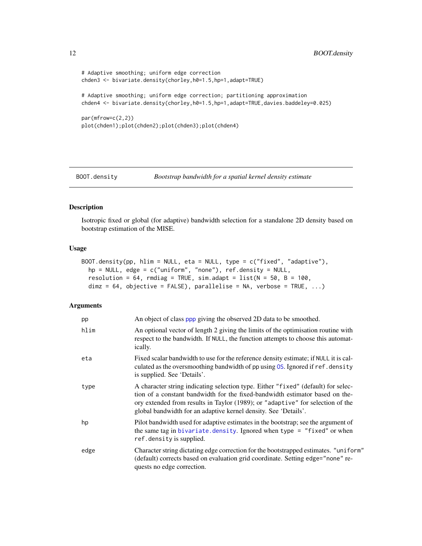```
# Adaptive smoothing; uniform edge correction
chden3 <- bivariate.density(chorley,h0=1.5,hp=1,adapt=TRUE)
# Adaptive smoothing; uniform edge correction; partitioning approximation
chden4 <- bivariate.density(chorley,h0=1.5,hp=1,adapt=TRUE,davies.baddeley=0.025)
par(mfrow=c(2,2))
plot(chden1);plot(chden2);plot(chden3);plot(chden4)
```
<span id="page-11-1"></span>

```
BOOT.density Bootstrap bandwidth for a spatial kernel density estimate
```
#### Description

Isotropic fixed or global (for adaptive) bandwidth selection for a standalone 2D density based on bootstrap estimation of the MISE.

#### Usage

```
BOOT.density(pp, hlim = NULL, eta = NULL, type = c("fixed", "adaptive"),
 hp = NULL, edge = c("uniform", "none"), ref.density = NULL,
 resolution = 64, rmdiag = TRUE, sim.adapt = list(N = 50, B = 100,dim z = 64, objective = FALSE), parallelise = NA, verbose = TRUE, ...)
```

| pp   | An object of class ppp giving the observed 2D data to be smoothed.                                                                                                                                                                                                                                                     |
|------|------------------------------------------------------------------------------------------------------------------------------------------------------------------------------------------------------------------------------------------------------------------------------------------------------------------------|
| hlim | An optional vector of length 2 giving the limits of the optimisation routine with<br>respect to the bandwidth. If NULL, the function attempts to choose this automat-<br>ically.                                                                                                                                       |
| eta  | Fixed scalar bandwidth to use for the reference density estimate; if NULL it is cal-<br>culated as the oversmoothing bandwidth of pp using OS. Ignored if ref. density<br>is supplied. See 'Details'.                                                                                                                  |
| type | A character string indicating selection type. Either "fixed" (default) for selec-<br>tion of a constant bandwidth for the fixed-bandwidth estimator based on the-<br>ory extended from results in Taylor (1989); or "adaptive" for selection of the<br>global bandwidth for an adaptive kernel density. See 'Details'. |
| hp   | Pilot bandwidth used for adaptive estimates in the bootstrap; see the argument of<br>the same tag in bivariate. density. Ignored when type = $"fixed"$ or when<br>ref.density is supplied.                                                                                                                             |
| edge | Character string dictating edge correction for the bootstrapped estimates. "uniform"<br>(default) corrects based on evaluation grid coordinate. Setting edge="none" re-<br>quests no edge correction.                                                                                                                  |

<span id="page-11-0"></span>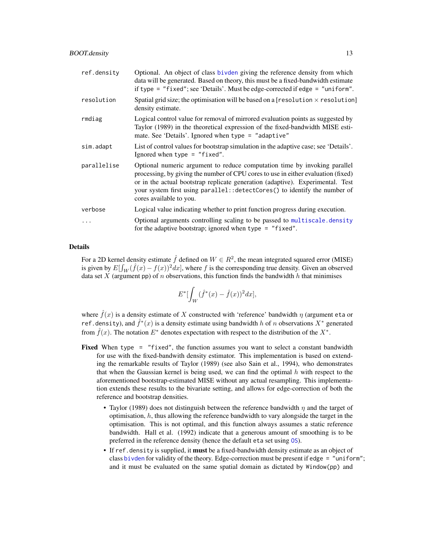<span id="page-12-0"></span>

| ref.density | Optional. An object of class bivden giving the reference density from which<br>data will be generated. Based on theory, this must be a fixed-bandwidth estimate<br>if type = "fixed"; see 'Details'. Must be edge-corrected if edge = "uniform".                                                                                                          |
|-------------|-----------------------------------------------------------------------------------------------------------------------------------------------------------------------------------------------------------------------------------------------------------------------------------------------------------------------------------------------------------|
| resolution  | Spatial grid size; the optimisation will be based on a [resolution $\times$ resolution]<br>density estimate.                                                                                                                                                                                                                                              |
| rmdiag      | Logical control value for removal of mirrored evaluation points as suggested by<br>Taylor (1989) in the theoretical expression of the fixed-bandwidth MISE esti-<br>mate. See 'Details'. Ignored when type = "adaptive"                                                                                                                                   |
| sim.adapt   | List of control values for bootstrap simulation in the adaptive case; see 'Details'.<br>Ignored when type $=$ "fixed".                                                                                                                                                                                                                                    |
| parallelise | Optional numeric argument to reduce computation time by invoking parallel<br>processing, by giving the number of CPU cores to use in either evaluation (fixed)<br>or in the actual bootstrap replicate generation (adaptive). Experimental. Test<br>your system first using parallel:: detectCores() to identify the number of<br>cores available to you. |
| verbose     | Logical value indicating whether to print function progress during execution.                                                                                                                                                                                                                                                                             |
| $\cdots$    | Optional arguments controlling scaling to be passed to multiscale.density<br>for the adaptive bootstrap; ignored when type = $"fixed"$ .                                                                                                                                                                                                                  |

## Details

For a 2D kernel density estimate  $\hat{f}$  defined on  $W \in R^2$ , the mean integrated squared error (MISE) is given by  $E[\int_W (\hat{f}(x) - f(x))^2 dx]$ , where f is the corresponding true density. Given an observed data set X (argument pp) of n observations, this function finds the bandwidth h that minimises

$$
E^*[\int_W (\hat{f}^*(x) - \hat{f}(x))^2 dx],
$$

where  $\hat{f}(x)$  is a density estimate of X constructed with 'reference' bandwidth  $\eta$  (argument eta or ref.density), and  $\hat{f}^*(x)$  is a density estimate using bandwidth h of n observations  $X^*$  generated from  $\hat{f}(x)$ . The notation  $E^*$  denotes expectation with respect to the distribution of the  $X^*$ .

- **Fixed** When type = "fixed", the function assumes you want to select a constant bandwidth for use with the fixed-bandwith density estimator. This implementation is based on extending the remarkable results of Taylor (1989) (see also Sain et al., 1994), who demonstrates that when the Gaussian kernel is being used, we can find the optimal  $h$  with respect to the aforementioned bootstrap-estimated MISE without any actual resampling. This implementation extends these results to the bivariate setting, and allows for edge-correction of both the reference and bootstrap densities.
	- Taylor (1989) does not distinguish between the reference bandwidth  $\eta$  and the target of optimisation,  $h$ , thus allowing the reference bandwidth to vary alongside the target in the optimisation. This is not optimal, and this function always assumes a static reference bandwidth. Hall et al. (1992) indicate that a generous amount of smoothing is to be preferred in the reference density (hence the default eta set using [OS](#page-35-1)).
	- If ref.density is supplied, it must be a fixed-bandwidth density estimate as an object of class [bivden](#page-7-2) for validity of the theory. Edge-correction must be present if edge = "uniform"; and it must be evaluated on the same spatial domain as dictated by Window(pp) and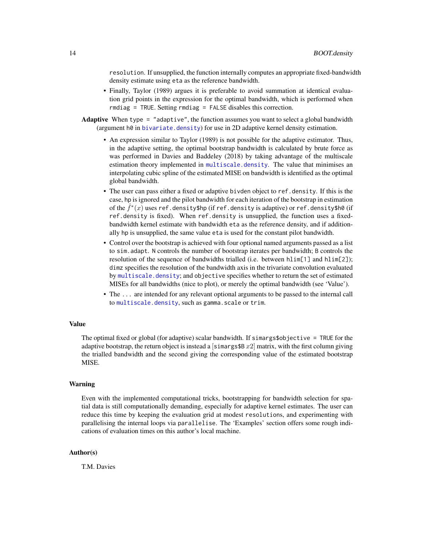<span id="page-13-0"></span>resolution. If unsupplied, the function internally computes an appropriate fixed-bandwidth density estimate using eta as the reference bandwidth.

- Finally, Taylor (1989) argues it is preferable to avoid summation at identical evaluation grid points in the expression for the optimal bandwidth, which is performed when rmdiag = TRUE. Setting rmdiag = FALSE disables this correction.
- Adaptive When type = "adaptive", the function assumes you want to select a global bandwidth (argument  $h\theta$  in bivariate. density) for use in 2D adaptive kernel density estimation.
	- An expression similar to Taylor (1989) is not possible for the adaptive estimator. Thus, in the adaptive setting, the optimal bootstrap bandwidth is calculated by brute force as was performed in Davies and Baddeley (2018) by taking advantage of the multiscale estimation theory implemented in [multiscale.density](#page-28-1). The value that minimises an interpolating cubic spline of the estimated MISE on bandwidth is identified as the optimal global bandwidth.
	- The user can pass either a fixed or adaptive bivden object to ref.density. If this is the case, hp is ignored and the pilot bandwidth for each iteration of the bootstrap in estimation of the  $\hat{f}^*(x)$  uses ref.density\$hp (if ref.density is adaptive) or ref.density\$h0 (if ref.density is fixed). When ref.density is unsupplied, the function uses a fixedbandwidth kernel estimate with bandwidth eta as the reference density, and if additionally hp is unsupplied, the same value eta is used for the constant pilot bandwidth.
	- Control over the bootstrap is achieved with four optional named arguments passed as a list to sim.adapt. N controls the number of bootstrap iterates per bandwidth; B controls the resolution of the sequence of bandwidths trialled (i.e. between hlim[1] and hlim[2]); dimz specifies the resolution of the bandwidth axis in the trivariate convolution evaluated by [multiscale.density](#page-28-1); and objective specifies whether to return the set of estimated MISEs for all bandwidths (nice to plot), or merely the optimal bandwidth (see 'Value').
	- The ... are intended for any relevant optional arguments to be passed to the internal call to [multiscale.density](#page-28-1), such as gamma.scale or trim.

#### Value

The optimal fixed or global (for adaptive) scalar bandwidth. If simargs\$objective = TRUE for the adaptive bootstrap, the return object is instead a [simargs\$B  $x2$ ] matrix, with the first column giving the trialled bandwidth and the second giving the corresponding value of the estimated bootstrap MISE.

#### Warning

Even with the implemented computational tricks, bootstrapping for bandwidth selection for spatial data is still computationally demanding, especially for adaptive kernel estimates. The user can reduce this time by keeping the evaluation grid at modest resolutions, and experimenting with parallelising the internal loops via parallelise. The 'Examples' section offers some rough indications of evaluation times on this author's local machine.

#### Author(s)

T.M. Davies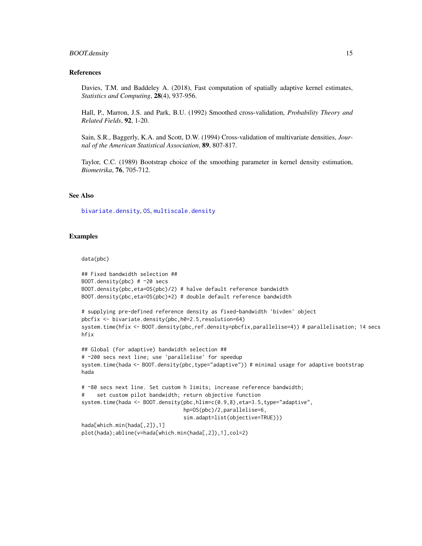#### <span id="page-14-0"></span>BOOT.density 15

#### References

Davies, T.M. and Baddeley A. (2018), Fast computation of spatially adaptive kernel estimates, *Statistics and Computing*, 28(4), 937-956.

Hall, P., Marron, J.S. and Park, B.U. (1992) Smoothed cross-validation, *Probability Theory and Related Fields*, 92, 1-20.

Sain, S.R., Baggerly, K.A. and Scott, D.W. (1994) Cross-validation of multivariate densities, *Journal of the American Statistical Association*, 89, 807-817.

Taylor, C.C. (1989) Bootstrap choice of the smoothing parameter in kernel density estimation, *Biometrika*, 76, 705-712.

## See Also

[bivariate.density](#page-7-1), [OS](#page-35-1), [multiscale.density](#page-28-1)

#### Examples

#### data(pbc)

```
## Fixed bandwidth selection ##
BOOT.density(pbc) # ~20 secs
BOOT.density(pbc,eta=OS(pbc)/2) # halve default reference bandwidth
BOOT.density(pbc,eta=OS(pbc)*2) # double default reference bandwidth
# supplying pre-defined reference density as fixed-bandwidth 'bivden' object
pbcfix <- bivariate.density(pbc,h0=2.5,resolution=64)
system.time(hfix <- BOOT.density(pbc,ref.density=pbcfix,parallelise=4)) # parallelisation; 14 secs
hfix
## Global (for adaptive) bandwidth selection ##
# ~200 secs next line; use 'parallelise' for speedup
system.time(hada <- BOOT.density(pbc,type="adaptive")) # minimal usage for adaptive bootstrap
hada
# ~80 secs next line. Set custom h limits; increase reference bandwidth;
# set custom pilot bandwidth; return objective function
system.time(hada <- BOOT.density(pbc,hlim=c(0.9,8),eta=3.5,type="adaptive",
                                 hp=OS(pbc)/2,parallelise=6,
                                 sim.adapt=list(objective=TRUE)))
hada[which.min(hada[,2]),1]
```

```
plot(hada);abline(v=hada[which.min(hada[,2]),1],col=2)
```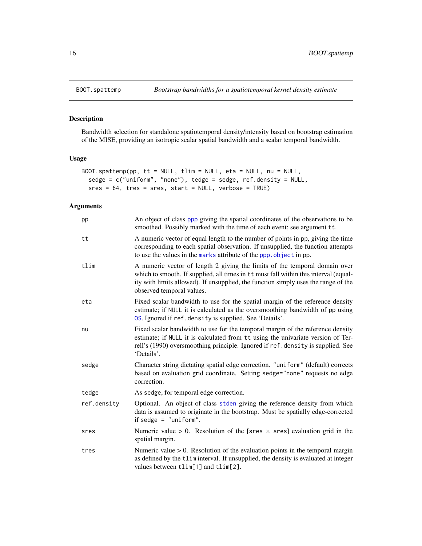## Description

Bandwidth selection for standalone spatiotemporal density/intensity based on bootstrap estimation of the MISE, providing an isotropic scalar spatial bandwidth and a scalar temporal bandwidth.

## Usage

```
BOOT.spattemp(pp, tt = NULL, tlim = NULL, eta = NULL, nu = NULL,
  sedge = c("uniform", "none"), tedge = sedge, ref.density = NULL,
 sres = 64, tres = sres, start = NULL, verbose = TRUE)
```

| pp          | An object of class ppp giving the spatial coordinates of the observations to be<br>smoothed. Possibly marked with the time of each event; see argument tt.                                                                                                                            |
|-------------|---------------------------------------------------------------------------------------------------------------------------------------------------------------------------------------------------------------------------------------------------------------------------------------|
| tt          | A numeric vector of equal length to the number of points in pp, giving the time<br>corresponding to each spatial observation. If unsupplied, the function attempts<br>to use the values in the marks attribute of the ppp. object in pp.                                              |
| tlim        | A numeric vector of length 2 giving the limits of the temporal domain over<br>which to smooth. If supplied, all times in tt must fall within this interval (equal-<br>ity with limits allowed). If unsupplied, the function simply uses the range of the<br>observed temporal values. |
| eta         | Fixed scalar bandwidth to use for the spatial margin of the reference density<br>estimate; if NULL it is calculated as the oversmoothing bandwidth of pp using<br>OS. Ignored if ref.density is supplied. See 'Details'.                                                              |
| nu          | Fixed scalar bandwidth to use for the temporal margin of the reference density<br>estimate; if NULL it is calculated from tt using the univariate version of Ter-<br>rell's (1990) oversmoothing principle. Ignored if ref.density is supplied. See<br>'Details'.                     |
| sedge       | Character string dictating spatial edge correction. "uniform" (default) corrects<br>based on evaluation grid coordinate. Setting sedge="none" requests no edge<br>correction.                                                                                                         |
| tedge       | As sedge, for temporal edge correction.                                                                                                                                                                                                                                               |
| ref.density | Optional. An object of class stden giving the reference density from which<br>data is assumed to originate in the bootstrap. Must be spatially edge-corrected<br>if sedge = $"uniform".$                                                                                              |
| sres        | Numeric value > 0. Resolution of the [sres $\times$ sres] evaluation grid in the<br>spatial margin.                                                                                                                                                                                   |
| tres        | Numeric value $> 0$ . Resolution of the evaluation points in the temporal margin<br>as defined by the tlim interval. If unsupplied, the density is evaluated at integer<br>values between tlim[1] and tlim[2].                                                                        |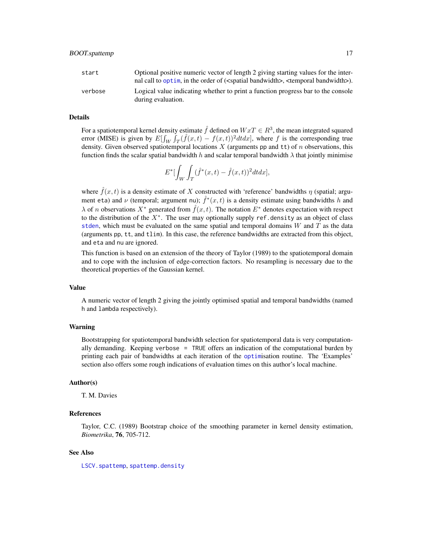<span id="page-16-0"></span>

| start   | Optional positive numeric vector of length 2 giving starting values for the inter-<br>nal call to optim, in the order of ( <spatial bandwidth="">, <temporal bandwidth="">).</temporal></spatial> |
|---------|---------------------------------------------------------------------------------------------------------------------------------------------------------------------------------------------------|
| verbose | Logical value indicating whether to print a function progress bar to the console<br>during evaluation.                                                                                            |

#### Details

For a spatiotemporal kernel density estimate  $\hat{f}$  defined on  $WxT \in R^3$ , the mean integrated squared error (MISE) is given by  $E[\int_W \int_T (\hat{f}(x,t) - f(x,t))^2 dt dx]$ , where f is the corresponding true density. Given observed spatiotemporal locations  $X$  (arguments pp and  $tt$ ) of  $n$  observations, this function finds the scalar spatial bandwidth h and scalar temporal bandwidth  $\lambda$  that jointly minimise

$$
E^*[\int_W \int_T (\hat{f}^*(x,t) - \hat{f}(x,t))^2 dt dx],
$$

where  $\hat{f}(x,t)$  is a density estimate of X constructed with 'reference' bandwidths  $\eta$  (spatial; argument eta) and  $\nu$  (temporal; argument nu);  $\hat{f}^*(x,t)$  is a density estimate using bandwidths h and  $\lambda$  of *n* observations  $X^*$  generated from  $\hat{f}(x,t)$ . The notation  $E^*$  denotes expectation with respect to the distribution of the  $X^*$ . The user may optionally supply ref.density as an object of class [stden](#page-48-2), which must be evaluated on the same spatial and temporal domains  $W$  and  $T$  as the data (arguments pp, tt, and tlim). In this case, the reference bandwidths are extracted from this object, and eta and nu are ignored.

This function is based on an extension of the theory of Taylor (1989) to the spatiotemporal domain and to cope with the inclusion of edge-correction factors. No resampling is necessary due to the theoretical properties of the Gaussian kernel.

#### Value

A numeric vector of length 2 giving the jointly optimised spatial and temporal bandwidths (named h and lambda respectively).

#### Warning

Bootstrapping for spatiotemporal bandwidth selection for spatiotemporal data is very computationally demanding. Keeping verbose = TRUE offers an indication of the computational burden by printing each pair of bandwidths at each iteration of the [optim](#page-0-0)isation routine. The 'Examples' section also offers some rough indications of evaluation times on this author's local machine.

#### Author(s)

T. M. Davies

## References

Taylor, C.C. (1989) Bootstrap choice of the smoothing parameter in kernel density estimation, *Biometrika*, 76, 705-712.

#### See Also

[LSCV.spattemp](#page-23-1), [spattemp.density](#page-48-1)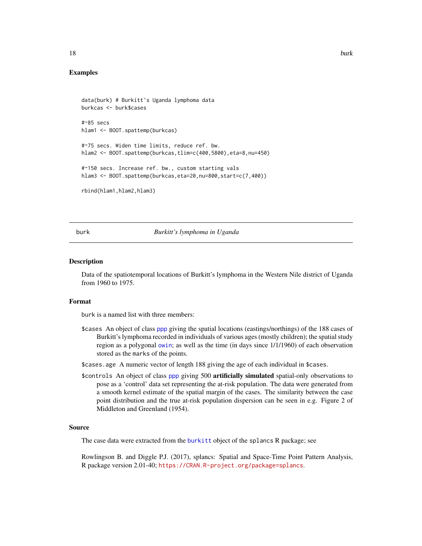<span id="page-17-0"></span>

## Examples

```
data(burk) # Burkitt's Uganda lymphoma data
burkcas <- burk$cases
#~85 secs
hlam1 <- BOOT.spattemp(burkcas)
#~75 secs. Widen time limits, reduce ref. bw.
hlam2 <- BOOT.spattemp(burkcas,tlim=c(400,5800),eta=8,nu=450)
#~150 secs. Increase ref. bw., custom starting vals
hlam3 <- BOOT.spattemp(burkcas,eta=20,nu=800,start=c(7,400))
rbind(hlam1,hlam2,hlam3)
```
<span id="page-17-1"></span>

#### burk *Burkitt's lymphoma in Uganda*

#### Description

Data of the spatiotemporal locations of Burkitt's lymphoma in the Western Nile district of Uganda from 1960 to 1975.

#### Format

burk is a named list with three members:

\$cases An object of class [ppp](#page-0-0) giving the spatial locations (eastings/northings) of the 188 cases of Burkitt's lymphoma recorded in individuals of various ages (mostly children); the spatial study region as a polygonal [owin](#page-0-0); as well as the time (in days since 1/1/1960) of each observation stored as the marks of the points.

\$cases.age A numeric vector of length 188 giving the age of each individual in \$cases.

\$controls An object of class [ppp](#page-0-0) giving 500 artificially simulated spatial-only observations to pose as a 'control' data set representing the at-risk population. The data were generated from a smooth kernel estimate of the spatial margin of the cases. The similarity between the case point distribution and the true at-risk population dispersion can be seen in e.g. Figure 2 of Middleton and Greenland (1954).

#### Source

The case data were extracted from the [burkitt](#page-0-0) object of the splancs R package; see

Rowlingson B. and Diggle P.J. (2017), splancs: Spatial and Space-Time Point Pattern Analysis, R package version 2.01-40; <https://CRAN.R-project.org/package=splancs>.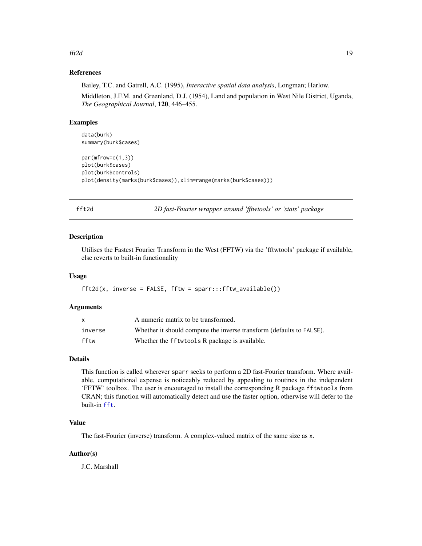#### <span id="page-18-0"></span>fft $2d$  19

## References

Bailey, T.C. and Gatrell, A.C. (1995), *Interactive spatial data analysis*, Longman; Harlow.

Middleton, J.F.M. and Greenland, D.J. (1954), Land and population in West Nile District, Uganda, *The Geographical Journal*, 120, 446–455.

## Examples

```
data(burk)
summary(burk$cases)
par(mfrow=c(1,3))
plot(burk$cases)
plot(burk$controls)
plot(density(marks(burk$cases)),xlim=range(marks(burk$cases)))
```
fft2d *2D fast-Fourier wrapper around 'fftwtools' or 'stats' package*

#### Description

Utilises the Fastest Fourier Transform in the West (FFTW) via the 'fftwtools' package if available, else reverts to built-in functionality

#### Usage

 $ft2d(x, inverse = FALSE, fftw = spark::fftw_available())$ 

## Arguments

| X       | A numeric matrix to be transformed.                                  |
|---------|----------------------------------------------------------------------|
| inverse | Whether it should compute the inverse transform (defaults to FALSE). |
| fftw    | Whether the fftwtools R package is available.                        |

#### Details

This function is called wherever sparr seeks to perform a 2D fast-Fourier transform. Where available, computational expense is noticeably reduced by appealing to routines in the independent 'FFTW' toolbox. The user is encouraged to install the corresponding R package fftwtools from CRAN; this function will automatically detect and use the faster option, otherwise will defer to the built-in [fft](#page-0-0).

## Value

The fast-Fourier (inverse) transform. A complex-valued matrix of the same size as x.

#### Author(s)

J.C. Marshall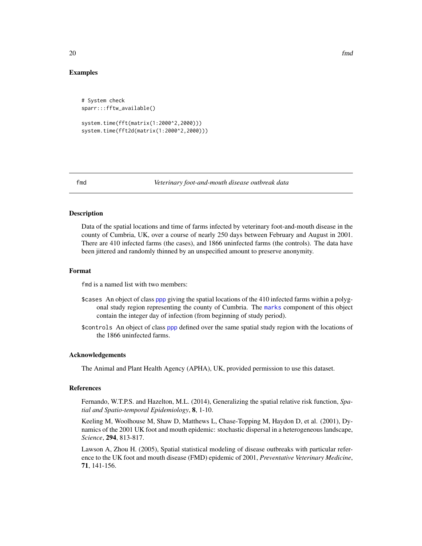## Examples

```
# System check
sparr:::fftw_available()
system.time(fft(matrix(1:2000^2,2000)))
system.time(fft2d(matrix(1:2000^2,2000)))
```
<span id="page-19-1"></span>

#### fmd *Veterinary foot-and-mouth disease outbreak data*

#### **Description**

Data of the spatial locations and time of farms infected by veterinary foot-and-mouth disease in the county of Cumbria, UK, over a course of nearly 250 days between February and August in 2001. There are 410 infected farms (the cases), and 1866 uninfected farms (the controls). The data have been jittered and randomly thinned by an unspecified amount to preserve anonymity.

#### Format

fmd is a named list with two members:

- \$cases An object of class [ppp](#page-0-0) giving the spatial locations of the 410 infected farms within a polygonal study region representing the county of Cumbria. The [marks](#page-0-0) component of this object contain the integer day of infection (from beginning of study period).
- \$controls An object of class [ppp](#page-0-0) defined over the same spatial study region with the locations of the 1866 uninfected farms.

## Acknowledgements

The Animal and Plant Health Agency (APHA), UK, provided permission to use this dataset.

#### References

Fernando, W.T.P.S. and Hazelton, M.L. (2014), Generalizing the spatial relative risk function, *Spatial and Spatio-temporal Epidemiology*, 8, 1-10.

Keeling M, Woolhouse M, Shaw D, Matthews L, Chase-Topping M, Haydon D, et al. (2001), Dynamics of the 2001 UK foot and mouth epidemic: stochastic dispersal in a heterogeneous landscape, *Science*, 294, 813-817.

Lawson A, Zhou H. (2005), Spatial statistical modeling of disease outbreaks with particular reference to the UK foot and mouth disease (FMD) epidemic of 2001, *Preventative Veterinary Medicine*, 71, 141-156.

<span id="page-19-0"></span> $20$  fmd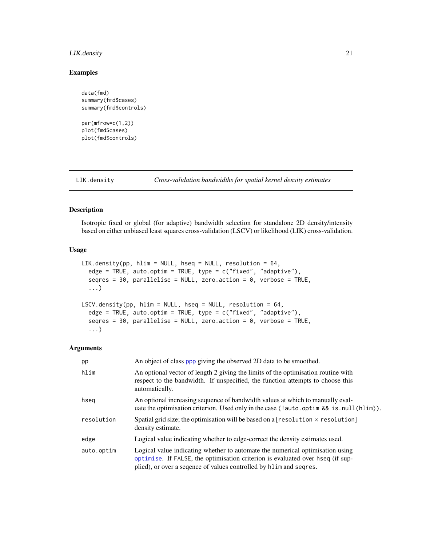## <span id="page-20-0"></span>LIK.density 21

## Examples

```
data(fmd)
summary(fmd$cases)
summary(fmd$controls)
```

```
par(mfrow=c(1,2))
plot(fmd$cases)
plot(fmd$controls)
```
<span id="page-20-2"></span>

LIK.density *Cross-validation bandwidths for spatial kernel density estimates*

## <span id="page-20-1"></span>Description

Isotropic fixed or global (for adaptive) bandwidth selection for standalone 2D density/intensity based on either unbiased least squares cross-validation (LSCV) or likelihood (LIK) cross-validation.

## Usage

```
LIK.density(pp, hlim = NULL, hseq = NULL, resolution = 64,
  edge = TRUE, auto.optim = TRUE, type = c("fixed", "adaptive"),seqres = 30, parallelise = NULL, zero.action = 0, verbose = TRUE,
  ...)
LSCV.density(pp, hlim = NULL, hseq = NULL, resolution = 64,
  edge = TRUE, auto.optim = TRUE, type = c("fixed", "adaptive"),
  seqres = 30, parallelise = NULL, zero.action = 0, verbose = TRUE,
  ...)
```

| pp         | An object of class ppp giving the observed 2D data to be smoothed.                                                                                                                                                                     |
|------------|----------------------------------------------------------------------------------------------------------------------------------------------------------------------------------------------------------------------------------------|
| hlim       | An optional vector of length 2 giving the limits of the optimisation routine with<br>respect to the bandwidth. If unspecified, the function attempts to choose this<br>automatically.                                                  |
| hseg       | An optional increasing sequence of bandwidth values at which to manually eval-<br>uate the optimisation criterion. Used only in the case (!auto.optim && is.null(hlim)).                                                               |
| resolution | Spatial grid size; the optimisation will be based on a [resolution $\times$ resolution]<br>density estimate.                                                                                                                           |
| edge       | Logical value indicating whether to edge-correct the density estimates used.                                                                                                                                                           |
| auto.optim | Logical value indicating whether to automate the numerical optimisation using<br>optimise. If FALSE, the optimisation criterion is evaluated over hseq (if sup-<br>plied), or over a sequence of values controlled by hlim and seques. |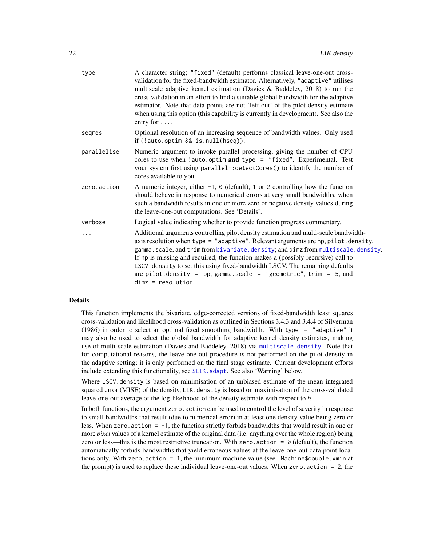<span id="page-21-0"></span>

| type        | A character string; "fixed" (default) performs classical leave-one-out cross-<br>validation for the fixed-bandwidth estimator. Alternatively, "adaptive" utilises<br>multiscale adaptive kernel estimation (Davies & Baddeley, 2018) to run the<br>cross-validation in an effort to find a suitable global bandwidth for the adaptive<br>estimator. Note that data points are not 'left out' of the pilot density estimate<br>when using this option (this capability is currently in development). See also the<br>entry for $\dots$ |
|-------------|---------------------------------------------------------------------------------------------------------------------------------------------------------------------------------------------------------------------------------------------------------------------------------------------------------------------------------------------------------------------------------------------------------------------------------------------------------------------------------------------------------------------------------------|
| segres      | Optional resolution of an increasing sequence of bandwidth values. Only used<br>if (!auto.optim && is.null(hseq)).                                                                                                                                                                                                                                                                                                                                                                                                                    |
| parallelise | Numeric argument to invoke parallel processing, giving the number of CPU<br>cores to use when !auto.optim and type = "fixed". Experimental. Test<br>your system first using parallel:: detectCores() to identify the number of<br>cores available to you.                                                                                                                                                                                                                                                                             |
| zero.action | A numeric integer, either $-1$ , $\theta$ (default), 1 or 2 controlling how the function<br>should behave in response to numerical errors at very small bandwidths, when<br>such a bandwidth results in one or more zero or negative density values during<br>the leave-one-out computations. See 'Details'.                                                                                                                                                                                                                          |
| verbose     | Logical value indicating whether to provide function progress commentary.                                                                                                                                                                                                                                                                                                                                                                                                                                                             |
| $\cdots$    | Additional arguments controlling pilot density estimation and multi-scale bandwidth-<br>axis resolution when type = "adaptive". Relevant arguments are hp, pilot.density,<br>gamma.scale, and trim from bivariate.density; and dimz from multiscale.density.<br>If hp is missing and required, the function makes a (possibly recursive) call to<br>LSCV. density to set this using fixed-bandwidth LSCV. The remaining defaults<br>are pilot.density = pp, gamma.scale = "geometric", trim = 5, and<br>$dim z = resolution.$         |
|             |                                                                                                                                                                                                                                                                                                                                                                                                                                                                                                                                       |

## Details

This function implements the bivariate, edge-corrected versions of fixed-bandwidth least squares cross-validation and likelihood cross-validation as outlined in Sections 3.4.3 and 3.4.4 of Silverman (1986) in order to select an optimal fixed smoothing bandwidth. With type = "adaptive" it may also be used to select the global bandwidth for adaptive kernel density estimates, making use of multi-scale estimation (Davies and Baddeley, 2018) via [multiscale.density](#page-28-1). Note that for computational reasons, the leave-one-out procedure is not performed on the pilot density in the adaptive setting; it is only performed on the final stage estimate. Current development efforts include extending this functionality, see SLIK. adapt. See also 'Warning' below.

Where LSCV. density is based on minimisation of an unbiased estimate of the mean integrated squared error (MISE) of the density, LIK. density is based on maximisation of the cross-validated leave-one-out average of the log-likelihood of the density estimate with respect to  $h$ .

In both functions, the argument zero. action can be used to control the level of severity in response to small bandwidths that result (due to numerical error) in at least one density value being zero or less. When zero.action = -1, the function strictly forbids bandwidths that would result in one or more *pixel* values of a kernel estimate of the original data (i.e. anything over the whole region) being zero or less—this is the most restrictive truncation. With zero. action =  $\theta$  (default), the function automatically forbids bandwidths that yield erroneous values at the leave-one-out data point locations only. With zero.action = 1, the minimum machine value (see .Machine\$double.xmin at the prompt) is used to replace these individual leave-one-out values. When zero.action = 2, the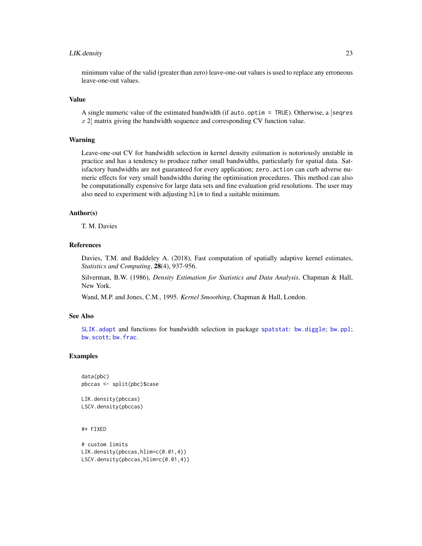### <span id="page-22-0"></span>LIK.density 23

minimum value of the valid (greater than zero) leave-one-out values is used to replace any erroneous leave-one-out values.

#### Value

A single numeric value of the estimated bandwidth (if auto.optim = TRUE). Otherwise, a [seqres  $x$  2 matrix giving the bandwidth sequence and corresponding CV function value.

## Warning

Leave-one-out CV for bandwidth selection in kernel density estimation is notoriously unstable in practice and has a tendency to produce rather small bandwidths, particularly for spatial data. Satisfactory bandwidths are not guaranteed for every application; zero.action can curb adverse numeric effects for very small bandwidths during the optimisation procedures. This method can also be computationally expensive for large data sets and fine evaluation grid resolutions. The user may also need to experiment with adjusting hlim to find a suitable minimum.

#### Author(s)

T. M. Davies

## References

Davies, T.M. and Baddeley A. (2018), Fast computation of spatially adaptive kernel estimates, *Statistics and Computing*, 28(4), 937-956.

Silverman, B.W. (1986), *Density Estimation for Statistics and Data Analysis*, Chapman & Hall, New York.

Wand, M.P. and Jones, C.M., 1995. *Kernel Smoothing*, Chapman & Hall, London.

## See Also

[SLIK.adapt](#page-46-1) and functions for bandwidth selection in package [spatstat](#page-0-0): [bw.diggle](#page-0-0); [bw.ppl](#page-0-0); [bw.scott](#page-0-0); [bw.frac](#page-0-0).

## Examples

```
data(pbc)
pbccas <- split(pbc)$case
```
LIK.density(pbccas) LSCV.density(pbccas)

#\* FIXED

```
# custom limits
LIK.density(pbccas,hlim=c(0.01,4))
LSCV.density(pbccas,hlim=c(0.01,4))
```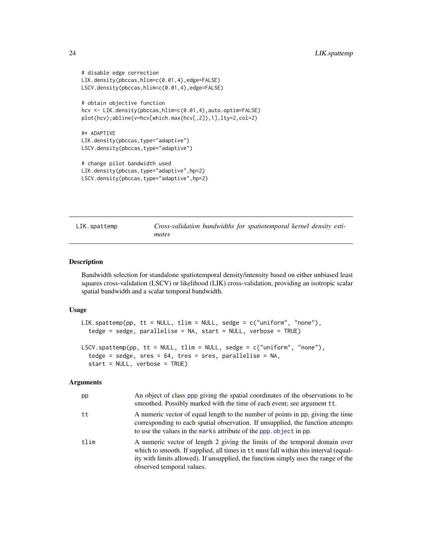```
# disable edge correction
LIK.density(pbccas,hlim=c(0.01,4),edge=FALSE)
LSCV.density(pbccas,hlim=c(0.01,4),edge=FALSE)
# obtain objective function
hcv <- LIK.density(pbccas,hlim=c(0.01,4),auto.optim=FALSE)
plot(hcv);abline(v=hcv[which.max(hcv[,2]),1],lty=2,col=2)
#* ADAPTIVE
LIK.density(pbccas,type="adaptive")
LSCV.density(pbccas,type="adaptive")
# change pilot bandwidth used
LIK.density(pbccas,type="adaptive",hp=2)
LSCV.density(pbccas,type="adaptive",hp=2)
```
<span id="page-23-2"></span>LIK.spattemp *Cross-validation bandwidths for spatiotemporal kernel density estimates*

#### <span id="page-23-1"></span>Description

Bandwidth selection for standalone spatiotemporal density/intensity based on either unbiased least squares cross-validation (LSCV) or likelihood (LIK) cross-validation, providing an isotropic scalar spatial bandwidth and a scalar temporal bandwidth.

#### Usage

```
LIK.spattemp(pp, tt = NULL, tlim = NULL, sedge = c("uniform", "none"),
  tedge = sedge, parallelise = NA, start = NULL, verbose = TRUE)
LSCV.spattemp(pp, tt = NULL, tlim = NULL, sedge = c("uniform", "none"),tedge = sedge, sres = 64, tres = sres, parallelise = NA,
  start = NULL, verbose = TRUE)
```

| pp   | An object of class ppp giving the spatial coordinates of the observations to be<br>smoothed. Possibly marked with the time of each event; see argument tt.                                                                                                                            |
|------|---------------------------------------------------------------------------------------------------------------------------------------------------------------------------------------------------------------------------------------------------------------------------------------|
| tt   | A numeric vector of equal length to the number of points in pp, giving the time<br>corresponding to each spatial observation. If unsupplied, the function attempts<br>to use the values in the marks attribute of the ppp. object in pp.                                              |
| tlim | A numeric vector of length 2 giving the limits of the temporal domain over<br>which to smooth. If supplied, all times in tt must fall within this interval (equal-<br>ity with limits allowed). If unsupplied, the function simply uses the range of the<br>observed temporal values. |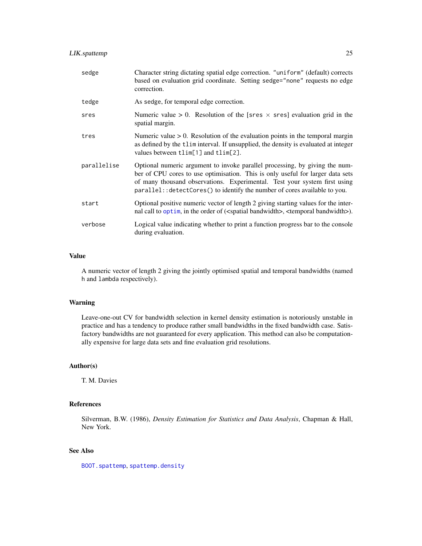<span id="page-24-0"></span>

| sedge       | Character string dictating spatial edge correction. "uniform" (default) corrects<br>based on evaluation grid coordinate. Setting sedge="none" requests no edge<br>correction.                                                                                                                                            |
|-------------|--------------------------------------------------------------------------------------------------------------------------------------------------------------------------------------------------------------------------------------------------------------------------------------------------------------------------|
| tedge       | As sedge, for temporal edge correction.                                                                                                                                                                                                                                                                                  |
| sres        | Numeric value > 0. Resolution of the [sres $\times$ sres] evaluation grid in the<br>spatial margin.                                                                                                                                                                                                                      |
| tres        | Numeric value $> 0$ . Resolution of the evaluation points in the temporal margin<br>as defined by the tlim interval. If unsupplied, the density is evaluated at integer<br>values between tlim[1] and tlim[2].                                                                                                           |
| parallelise | Optional numeric argument to invoke parallel processing, by giving the num-<br>ber of CPU cores to use optimisation. This is only useful for larger data sets<br>of many thousand observations. Experimental. Test your system first using<br>parallel:: detectCores() to identify the number of cores available to you. |
| start       | Optional positive numeric vector of length 2 giving starting values for the inter-<br>nal call to optim, in the order of ( <spatial bandwidth="">, <temporal bandwidth="">).</temporal></spatial>                                                                                                                        |
| verbose     | Logical value indicating whether to print a function progress bar to the console<br>during evaluation.                                                                                                                                                                                                                   |

#### Value

A numeric vector of length 2 giving the jointly optimised spatial and temporal bandwidths (named h and lambda respectively).

## Warning

Leave-one-out CV for bandwidth selection in kernel density estimation is notoriously unstable in practice and has a tendency to produce rather small bandwidths in the fixed bandwidth case. Satisfactory bandwidths are not guaranteed for every application. This method can also be computationally expensive for large data sets and fine evaluation grid resolutions.

#### Author(s)

T. M. Davies

## References

Silverman, B.W. (1986), *Density Estimation for Statistics and Data Analysis*, Chapman & Hall, New York.

## See Also

[BOOT.spattemp](#page-15-1), [spattemp.density](#page-48-1)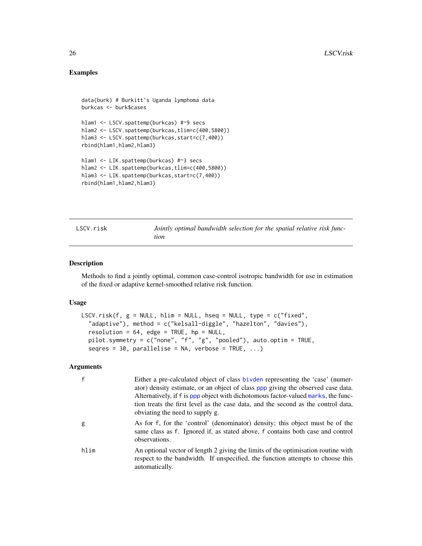## Examples

```
data(burk) # Burkitt's Uganda lymphoma data
burkcas <- burk$cases
hlam1 <- LSCV.spattemp(burkcas) #~9 secs
hlam2 <- LSCV.spattemp(burkcas,tlim=c(400,5800))
hlam3 <- LSCV.spattemp(burkcas,start=c(7,400))
rbind(hlam1,hlam2,hlam3)
hlam1 <- LIK.spattemp(burkcas) #~3 secs
hlam2 <- LIK.spattemp(burkcas,tlim=c(400,5800))
hlam3 <- LIK.spattemp(burkcas,start=c(7,400))
rbind(hlam1,hlam2,hlam3)
```
<span id="page-25-1"></span>LSCV.risk *Jointly optimal bandwidth selection for the spatial relative risk function*

#### Description

Methods to find a jointly optimal, common case-control isotropic bandwidth for use in estimation of the fixed or adaptive kernel-smoothed relative risk function.

#### Usage

```
LSCV.risk(f, g = NULL, hlim = NULL, hseq = NULL, type = c("fixed",
  "adaptive"), method = c("kelsall-diggle", "hazelton", "davies"),
  resolution = 64, edge = TRUE, hp = NULL,
  pilot.symmetry = c("none", "f", "g", "pooled"), auto.optim = TRUE,
  seqres = 30, parallelise = NA, verbose = TRUE, ...)
```

| $\mathsf{f}$ | Either a pre-calculated object of class bivden representing the 'case' (numer-<br>ator) density estimate, or an object of class ppp giving the observed case data.<br>Alternatively, if f is ppp object with dichotomous factor-valued marks, the func-<br>tion treats the first level as the case data, and the second as the control data,<br>obviating the need to supply g. |
|--------------|---------------------------------------------------------------------------------------------------------------------------------------------------------------------------------------------------------------------------------------------------------------------------------------------------------------------------------------------------------------------------------|
| g            | As for f, for the 'control' (denominator) density; this object must be of the<br>same class as f. Ignored if, as stated above, f contains both case and control<br>observations.                                                                                                                                                                                                |
| hlim         | An optional vector of length 2 giving the limits of the optimisation routine with<br>respect to the bandwidth. If unspecified, the function attempts to choose this<br>automatically.                                                                                                                                                                                           |

<span id="page-25-0"></span>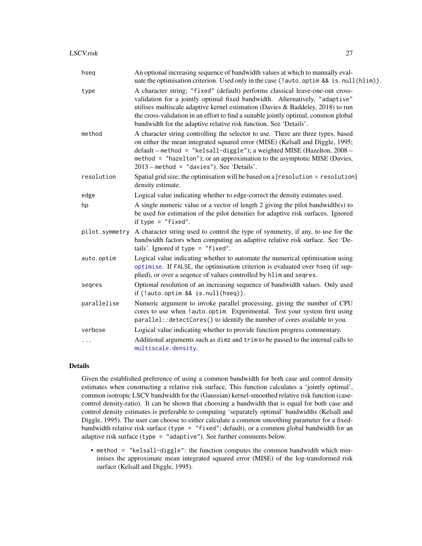<span id="page-26-0"></span>

| hseg           | An optional increasing sequence of bandwidth values at which to manually eval-<br>uate the optimisation criterion. Used only in the case (!auto.optim && is.null(hlim)).                                                                                                                                                                                                                                    |
|----------------|-------------------------------------------------------------------------------------------------------------------------------------------------------------------------------------------------------------------------------------------------------------------------------------------------------------------------------------------------------------------------------------------------------------|
| type           | A character string; "fixed" (default) performs classical leave-one-out cross-<br>validation for a jointly optimal fixed bandwidth. Alternatively, "adaptive"<br>utilises multiscale adaptive kernel estimation (Davies & Baddeley, 2018) to run<br>the cross-validation in an effort to find a suitable jointly optimal, common global<br>bandwidth for the adaptive relative risk function. See 'Details'. |
| method         | A character string controlling the selector to use. There are three types, based<br>on either the mean integrated squared error (MISE) (Kelsall and Diggle, 1995;<br>default - method = "kelsall-diggle"); a weighted MISE (Hazelton, 2008 -<br>method = "hazelton"); or an approximation to the asymptotic MISE (Davies,<br>$2013$ - method = "davies"). See 'Details'.                                    |
| resolution     | Spatial grid size; the optimisation will be based on a [resolution $\times$ resolution]<br>density estimate.                                                                                                                                                                                                                                                                                                |
| edge           | Logical value indicating whether to edge-correct the density estimates used.                                                                                                                                                                                                                                                                                                                                |
| hp             | A single numeric value or a vector of length 2 giving the pilot bandwidth(s) to<br>be used for estimation of the pilot densities for adaptive risk surfaces. Ignored<br>if type = $"fixed".$                                                                                                                                                                                                                |
| pilot.symmetry | A character string used to control the type of symmetry, if any, to use for the<br>bandwidth factors when computing an adaptive relative risk surface. See 'De-<br>tails'. Ignored if type $=$ "fixed".                                                                                                                                                                                                     |
| auto.optim     | Logical value indicating whether to automate the numerical optimisation using<br>optimise. If FALSE, the optimisation criterion is evaluated over hseq (if sup-<br>plied), or over a seqence of values controlled by hlim and seqres.                                                                                                                                                                       |
| seqres         | Optional resolution of an increasing sequence of bandwidth values. Only used<br>if (!auto.optim && is.null(hseq)).                                                                                                                                                                                                                                                                                          |
| parallelise    | Numeric argument to invoke parallel processing, giving the number of CPU<br>cores to use when !auto.optim. Experimental. Test your system first using<br>parallel:: detectCores() to identify the number of cores available to you.                                                                                                                                                                         |
| verbose        | Logical value indicating whether to provide function progress commentary.                                                                                                                                                                                                                                                                                                                                   |
|                | Additional arguments such as dimz and trim to be passed to the internal calls to<br>multiscale.density.                                                                                                                                                                                                                                                                                                     |

#### Details

Given the established preference of using a common bandwidth for both case and control density estimates when constructing a relative risk surface, This function calculates a 'jointly optimal', common isotropic LSCV bandwidth for the (Gaussian) kernel-smoothed relative risk function (casecontrol density-ratio). It can be shown that choosing a bandwidth that is equal for both case and control density estimates is preferable to computing 'separately optimal' bandwidths (Kelsall and Diggle, 1995). The user can choose to either calculate a common smoothing parameter for a fixedbandwidth relative risk surface (type = "fixed"; default), or a common global bandwidth for an adaptive risk surface (type = "adaptive"). See further comments below.

• method = "kelsall-diggle": the function computes the common bandwidth which minimises the approximate mean integrated squared error (MISE) of the log-transformed risk surface (Kelsall and Diggle, 1995).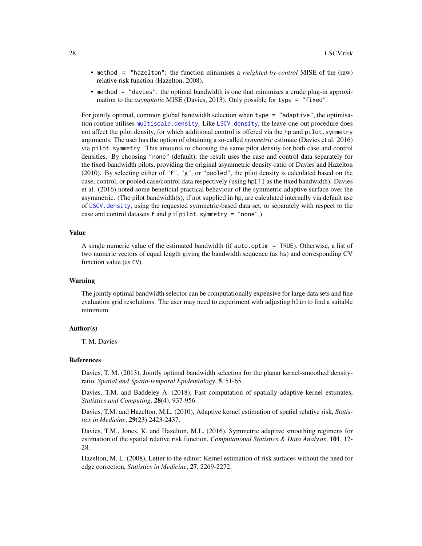- <span id="page-27-0"></span>• method = "hazelton": the function minimises a *weighted-by-control* MISE of the (raw) relative risk function (Hazelton, 2008).
- method = "davies": the optimal bandwidth is one that minimises a crude plug-in approximation to the *asymptotic* MISE (Davies, 2013). Only possible for type = "fixed".

For jointly optimal, common global bandwidth selection when type = "adaptive", the optimisation routine utilises [multiscale.density](#page-28-1). Like [LSCV.density](#page-20-1), the leave-one-out procedure does not affect the pilot density, for which additional control is offered via the hp and pilot.symmetry arguments. The user has the option of obtaining a so-called *symmetric* estimate (Davies et al. 2016) via pilot.symmetry. This amounts to choosing the same pilot density for both case and control densities. By choosing "none" (default), the result uses the case and control data separately for the fixed-bandwidth pilots, providing the original asymmetric density-ratio of Davies and Hazelton (2010). By selecting either of "f", "g", or "pooled", the pilot density is calculated based on the case, control, or pooled case/control data respectively (using hp[1] as the fixed bandwidth). Davies et al. (2016) noted some beneficial practical behaviour of the symmetric adaptive surface over the asymmetric. (The pilot bandwidth(s), if not supplied in hp, are calculated internally via default use of [LSCV.density](#page-20-1), using the requested symmetric-based data set, or separately with respect to the case and control datasets f and g if pilot.symmetry = "none".)

#### Value

A single numeric value of the estimated bandwidth (if auto.optim = TRUE). Otherwise, a list of two numeric vectors of equal length giving the bandwidth sequence (as hs) and corresponding CV function value (as CV).

#### Warning

The jointly optimal bandwidth selector can be computationally expensive for large data sets and fine evaluation grid resolutions. The user may need to experiment with adjusting hlim to find a suitable minimum.

#### Author(s)

T. M. Davies

#### References

Davies, T. M. (2013), Jointly optimal bandwidth selection for the planar kernel-smoothed densityratio, *Spatial and Spatio-temporal Epidemiology*, 5, 51-65.

Davies, T.M. and Baddeley A. (2018), Fast computation of spatially adaptive kernel estimates, *Statistics and Computing*, 28(4), 937-956.

Davies, T.M. and Hazelton, M.L. (2010), Adaptive kernel estimation of spatial relative risk, *Statistics in Medicine*, 29(23) 2423-2437.

Davies, T.M., Jones, K. and Hazelton, M.L. (2016), Symmetric adaptive smoothing regimens for estimation of the spatial relative risk function, *Computational Statistics & Data Analysis*, 101, 12- 28.

Hazelton, M. L. (2008), Letter to the editor: Kernel estimation of risk surfaces without the need for edge correction, *Statistics in Medicine*, 27, 2269-2272.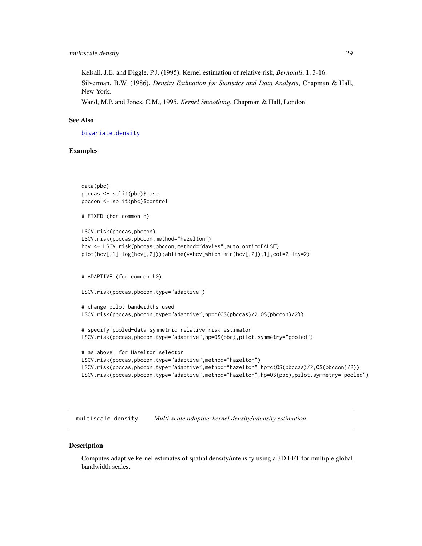<span id="page-28-0"></span>Kelsall, J.E. and Diggle, P.J. (1995), Kernel estimation of relative risk, *Bernoulli*, 1, 3-16.

Silverman, B.W. (1986), *Density Estimation for Statistics and Data Analysis*, Chapman & Hall, New York.

Wand, M.P. and Jones, C.M., 1995. *Kernel Smoothing*, Chapman & Hall, London.

#### See Also

[bivariate.density](#page-7-1)

#### Examples

```
data(pbc)
pbccas <- split(pbc)$case
pbccon <- split(pbc)$control
# FIXED (for common h)
LSCV.risk(pbccas,pbccon)
LSCV.risk(pbccas,pbccon,method="hazelton")
hcv <- LSCV.risk(pbccas,pbccon,method="davies",auto.optim=FALSE)
plot(hcv[,1],log(hcv[,2]));abline(v=hcv[which.min(hcv[,2]),1],col=2,lty=2)
# ADAPTIVE (for common h0)
LSCV.risk(pbccas,pbccon,type="adaptive")
# change pilot bandwidths used
LSCV.risk(pbccas,pbccon,type="adaptive",hp=c(OS(pbccas)/2,OS(pbccon)/2))
# specify pooled-data symmetric relative risk estimator
LSCV.risk(pbccas,pbccon,type="adaptive",hp=OS(pbc),pilot.symmetry="pooled")
# as above, for Hazelton selector
LSCV.risk(pbccas,pbccon,type="adaptive",method="hazelton")
LSCV.risk(pbccas,pbccon,type="adaptive",method="hazelton",hp=c(OS(pbccas)/2,OS(pbccon)/2))
LSCV.risk(pbccas,pbccon,type="adaptive",method="hazelton",hp=OS(pbc),pilot.symmetry="pooled")
```
<span id="page-28-1"></span>multiscale.density *Multi-scale adaptive kernel density/intensity estimation*

#### <span id="page-28-2"></span>Description

Computes adaptive kernel estimates of spatial density/intensity using a 3D FFT for multiple global bandwidth scales.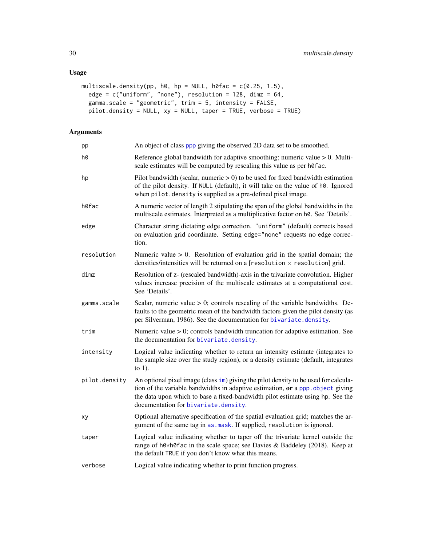## <span id="page-29-0"></span>Usage

```
multiscale.density(pp, h\emptyset, hp = NULL, h\emptysetfac = c(0.25, 1.5),
  edge = c("uniform", "none"), resolution = 128, dimz = 64,gamma.scale = "geometric", trim = 5, intensity = FALSE,
  pilot.density = NULL, xy = NULL, taper = TRUE, verbose = TRUE)
```

| pp            | An object of class ppp giving the observed 2D data set to be smoothed.                                                                                                                                                                                                                           |  |
|---------------|--------------------------------------------------------------------------------------------------------------------------------------------------------------------------------------------------------------------------------------------------------------------------------------------------|--|
| h0            | Reference global bandwidth for adaptive smoothing; numeric value $> 0$ . Multi-<br>scale estimates will be computed by rescaling this value as per h0fac.                                                                                                                                        |  |
| hp            | Pilot bandwidth (scalar, numeric $> 0$ ) to be used for fixed bandwidth estimation<br>of the pilot density. If NULL (default), it will take on the value of h0. Ignored<br>when pilot. density is supplied as a pre-defined pixel image.                                                         |  |
| h0fac         | A numeric vector of length 2 stipulating the span of the global bandwidths in the<br>multiscale estimates. Interpreted as a multiplicative factor on h0. See 'Details'.                                                                                                                          |  |
| edge          | Character string dictating edge correction. "uniform" (default) corrects based<br>on evaluation grid coordinate. Setting edge="none" requests no edge correc-<br>tion.                                                                                                                           |  |
| resolution    | Numeric value $> 0$ . Resolution of evaluation grid in the spatial domain; the<br>densities/intensities will be returned on a [resolution $\times$ resolution] grid.                                                                                                                             |  |
| dimz          | Resolution of z- (rescaled bandwidth)-axis in the trivariate convolution. Higher<br>values increase precision of the multiscale estimates at a computational cost.<br>See 'Details'.                                                                                                             |  |
| gamma.scale   | Scalar, numeric value $> 0$ ; controls rescaling of the variable bandwidths. De-<br>faults to the geometric mean of the bandwidth factors given the pilot density (as<br>per Silverman, 1986). See the documentation for bivariate.density.                                                      |  |
| trim          | Numeric value $> 0$ ; controls bandwidth truncation for adaptive estimation. See<br>the documentation for bivariate.density.                                                                                                                                                                     |  |
| intensity     | Logical value indicating whether to return an intensity estimate (integrates to<br>the sample size over the study region), or a density estimate (default, integrates<br>to $1$ ).                                                                                                               |  |
| pilot.density | An optional pixel image (class im) giving the pilot density to be used for calcula-<br>tion of the variable bandwidths in adaptive estimation, or a ppp. object giving<br>the data upon which to base a fixed-bandwidth pilot estimate using hp. See the<br>documentation for bivariate.density. |  |
| xy            | Optional alternative specification of the spatial evaluation grid; matches the ar-<br>gument of the same tag in as . mask. If supplied, resolution is ignored.                                                                                                                                   |  |
| taper         | Logical value indicating whether to taper off the trivariate kernel outside the<br>range of h0*h0fac in the scale space; see Davies & Baddeley (2018). Keep at<br>the default TRUE if you don't know what this means.                                                                            |  |
| verbose       | Logical value indicating whether to print function progress.                                                                                                                                                                                                                                     |  |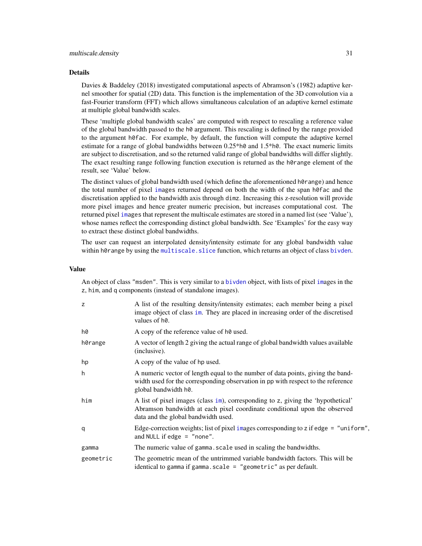#### <span id="page-30-0"></span>Details

Davies & Baddeley (2018) investigated computational aspects of Abramson's (1982) adaptive kernel smoother for spatial (2D) data. This function is the implementation of the 3D convolution via a fast-Fourier transform (FFT) which allows simultaneous calculation of an adaptive kernel estimate at multiple global bandwidth scales.

These 'multiple global bandwidth scales' are computed with respect to rescaling a reference value of the global bandwidth passed to the  $h\theta$  argument. This rescaling is defined by the range provided to the argument h0fac. For example, by default, the function will compute the adaptive kernel estimate for a range of global bandwidths between 0.25\*h0 and 1.5\*h0. The exact numeric limits are subject to discretisation, and so the returned valid range of global bandwidths will differ slightly. The exact resulting range following function execution is returned as the h0range element of the result, see 'Value' below.

The distinct values of global bandwidth used (which define the aforementioned h0range) and hence the total number of pixel [ima](#page-0-0)ges returned depend on both the width of the span h0fac and the discretisation applied to the bandwidth axis through dimz. Increasing this z-resolution will provide more pixel images and hence greater numeric precision, but increases computational cost. The returned pixel [ima](#page-0-0)ges that represent the multiscale estimates are stored in a named list (see 'Value'), whose names reflect the corresponding distinct global bandwidth. See 'Examples' for the easy way to extract these distinct global bandwidths.

The user can request an interpolated density/intensity estimate for any global bandwidth value within h0range by using the [multiscale.slice](#page-31-1) function, which returns an object of class [bivden](#page-7-2).

#### Value

An object of class "msden". This is very similar to a [bivden](#page-7-2) object, with lists of pixel [im](#page-0-0)ages in the z, him, and q components (instead of standalone images).

| z         | A list of the resulting density/intensity estimates; each member being a pixel<br>image object of class im. They are placed in increasing order of the discretised<br>values of h <sub>0</sub> .     |
|-----------|------------------------------------------------------------------------------------------------------------------------------------------------------------------------------------------------------|
| h0        | A copy of the reference value of h0 used.                                                                                                                                                            |
| h0range   | A vector of length 2 giving the actual range of global bandwidth values available<br>(inclusive).                                                                                                    |
| hp        | A copy of the value of hp used.                                                                                                                                                                      |
| h         | A numeric vector of length equal to the number of data points, giving the band-<br>width used for the corresponding observation in pp with respect to the reference<br>global bandwidth h0.          |
| him       | A list of pixel images (class im), corresponding to z, giving the 'hypothetical'<br>Abramson bandwidth at each pixel coordinate conditional upon the observed<br>data and the global bandwidth used. |
| q         | Edge-correction weights; list of pixel images corresponding to z if edge = "uniform",<br>and NULL if edge $=$ "none".                                                                                |
| gamma     | The numeric value of gamma. scale used in scaling the bandwidths.                                                                                                                                    |
| geometric | The geometric mean of the untrimmed variable bandwidth factors. This will be<br>identical to gamma if gamma.scale = "geometric" as per default.                                                      |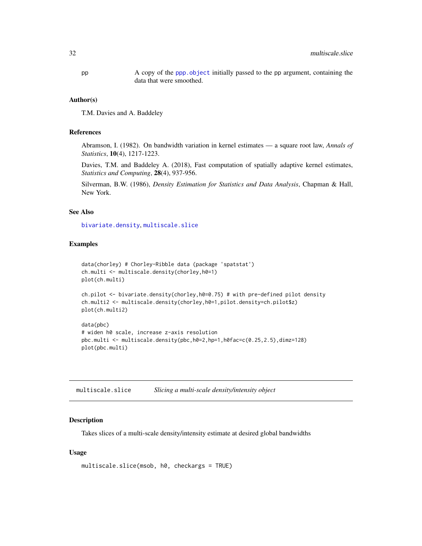<span id="page-31-0"></span>pp A copy of the [ppp.object](#page-0-0) initially passed to the pp argument, containing the data that were smoothed.

#### Author(s)

T.M. Davies and A. Baddeley

#### References

Abramson, I. (1982). On bandwidth variation in kernel estimates — a square root law, *Annals of Statistics*, 10(4), 1217-1223.

Davies, T.M. and Baddeley A. (2018), Fast computation of spatially adaptive kernel estimates, *Statistics and Computing*, 28(4), 937-956.

Silverman, B.W. (1986), *Density Estimation for Statistics and Data Analysis*, Chapman & Hall, New York.

## See Also

[bivariate.density](#page-7-1), [multiscale.slice](#page-31-1)

#### Examples

```
data(chorley) # Chorley-Ribble data (package 'spatstat')
ch.multi <- multiscale.density(chorley,h0=1)
plot(ch.multi)
ch.pilot <- bivariate.density(chorley, h0=0.75) # with pre-defined pilot density
ch.multi2 <- multiscale.density(chorley,h0=1,pilot.density=ch.pilot$z)
plot(ch.multi2)
```

```
data(pbc)
# widen h0 scale, increase z-axis resolution
pbc.multi <- multiscale.density(pbc,h0=2,hp=1,h0fac=c(0.25,2.5),dimz=128)
plot(pbc.multi)
```
<span id="page-31-1"></span>

| multiscale.slice |  | Slicing a multi-scale density/intensity object |
|------------------|--|------------------------------------------------|
|------------------|--|------------------------------------------------|

#### Description

Takes slices of a multi-scale density/intensity estimate at desired global bandwidths

#### Usage

```
multiscale.slice(msob, h0, checkargs = TRUE)
```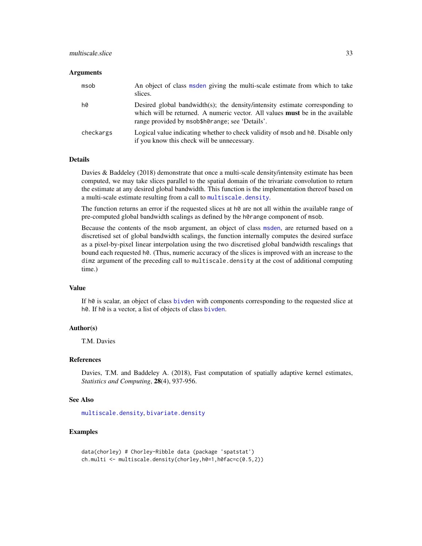## <span id="page-32-0"></span>multiscale.slice 33

#### Arguments

| msob      | An object of class msden giving the multi-scale estimate from which to take<br>slices.                                                                                                                                  |
|-----------|-------------------------------------------------------------------------------------------------------------------------------------------------------------------------------------------------------------------------|
| h0        | Desired global bandwidth(s); the density/intensity estimate corresponding to<br>which will be returned. A numeric vector. All values <b>must</b> be in the available<br>range provided by msob\$h0range; see 'Details'. |
| checkargs | Logical value indicating whether to check validity of msob and h0. Disable only<br>if you know this check will be unnecessary.                                                                                          |

#### Details

Davies & Baddeley (2018) demonstrate that once a multi-scale density/intensity estimate has been computed, we may take slices parallel to the spatial domain of the trivariate convolution to return the estimate at any desired global bandwidth. This function is the implementation thereof based on a multi-scale estimate resulting from a call to [multiscale.density](#page-28-1).

The function returns an error if the requested slices at  $h\theta$  are not all within the available range of pre-computed global bandwidth scalings as defined by the h0range component of msob.

Because the contents of the msob argument, an object of class [msden](#page-28-2), are returned based on a discretised set of global bandwidth scalings, the function internally computes the desired surface as a pixel-by-pixel linear interpolation using the two discretised global bandwidth rescalings that bound each requested h0. (Thus, numeric accuracy of the slices is improved with an increase to the dimz argument of the preceding call to multiscale.density at the cost of additional computing time.)

## Value

If h0 is scalar, an object of class [bivden](#page-7-2) with components corresponding to the requested slice at h0. If h0 is a vector, a list of objects of class [bivden](#page-7-2).

#### Author(s)

T.M. Davies

#### References

Davies, T.M. and Baddeley A. (2018), Fast computation of spatially adaptive kernel estimates, *Statistics and Computing*, 28(4), 937-956.

#### See Also

[multiscale.density](#page-28-1), [bivariate.density](#page-7-1)

## Examples

```
data(chorley) # Chorley-Ribble data (package 'spatstat')
ch.multi <- multiscale.density(chorley,h0=1,h0fac=c(0.5,2))
```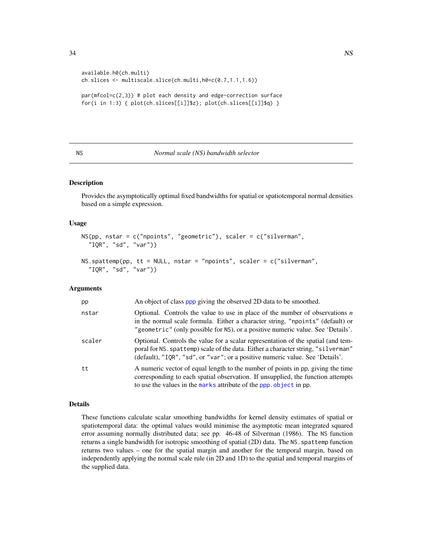```
available.h0(ch.multi)
ch.slices <- multiscale.slice(ch.multi,h0=c(0.7,1.1,1.6))
par(mfcol=c(2,3)) # plot each density and edge-correction surface
for(i in 1:3) { plot(ch.slices[[i]]$z); plot(ch.slices[[i]]$q) }
```
## <span id="page-33-1"></span>NS *Normal scale (NS) bandwidth selector*

## <span id="page-33-2"></span>Description

Provides the asymptotically optimal fixed bandwidths for spatial or spatiotemporal normal densities based on a simple expression.

#### Usage

```
NS(pp, nstar = c("npoints", "geometric"), scaler = c("silverman",
  "IQR", "sd", "var"))
```

```
NS. spattemp(pp, tt = NULL, nstar = "npoints", scaler = c("silverman",
  "IQR", "sd", "var"))
```
## Arguments

| pp     | An object of class ppp giving the observed 2D data to be smoothed.                                                                                                                                                                                      |
|--------|---------------------------------------------------------------------------------------------------------------------------------------------------------------------------------------------------------------------------------------------------------|
| nstar  | Optional. Controls the value to use in place of the number of observations $n$<br>in the normal scale formula. Either a character string, "npoints" (default) or<br>"geometric" (only possible for NS), or a positive numeric value. See 'Details'.     |
| scaler | Optional. Controls the value for a scalar representation of the spatial (and tem-<br>poral for NS. spattemp) scale of the data. Either a character string, "silverman"<br>(default), "IQR", "sd", or "var"; or a positive numeric value. See 'Details'. |
| tt     | A numeric vector of equal length to the number of points in pp, giving the time<br>corresponding to each spatial observation. If unsupplied, the function attempts<br>to use the values in the marks attribute of the ppp. object in pp.                |

#### Details

These functions calculate scalar smoothing bandwidths for kernel density estimates of spatial or spatiotemporal data: the optimal values would minimise the asymptotic mean integrated squared error assuming normally distributed data; see pp. 46-48 of Silverman (1986). The NS function returns a single bandwidth for isotropic smoothing of spatial (2D) data. The NS.spattemp function returns two values – one for the spatial margin and another for the temporal margin, based on independently applying the normal scale rule (in 2D and 1D) to the spatial and temporal margins of the supplied data.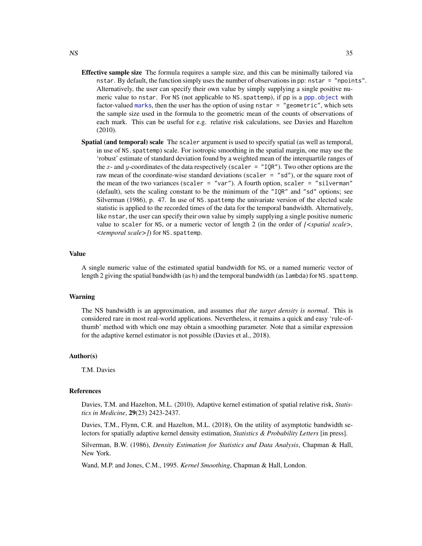- **Effective sample size** The formula requires a sample size, and this can be minimally tailored via nstar. By default, the function simply uses the number of observations in pp: nstar = "npoints". Alternatively, the user can specify their own value by simply supplying a single positive numeric value to nstar. For NS (not applicable to NS.spattemp), if pp is a [ppp.object](#page-0-0) with factor-valued [marks](#page-0-0), then the user has the option of using nstar = "geometric", which sets the sample size used in the formula to the geometric mean of the counts of observations of each mark. This can be useful for e.g. relative risk calculations, see Davies and Hazelton (2010).
- Spatial (and temporal) scale The scaler argument is used to specify spatial (as well as temporal, in use of NS.spattemp) scale. For isotropic smoothing in the spatial margin, one may use the 'robust' estimate of standard deviation found by a weighted mean of the interquartile ranges of the x- and y-coordinates of the data respectively (scaler = "IQR"). Two other options are the raw mean of the coordinate-wise standard deviations (scaler  $=$  "sd"), or the square root of the mean of the two variances (scaler = "var"). A fourth option, scaler = "silverman" (default), sets the scaling constant to be the minimum of the "IQR" and "sd" options; see Silverman (1986), p. 47. In use of NS.spattemp the univariate version of the elected scale statistic is applied to the recorded times of the data for the temporal bandwidth. Alternatively, like nstar, the user can specify their own value by simply supplying a single positive numeric value to scaler for NS, or a numeric vector of length 2 (in the order of *[<spatial scale>, <temporal scale>]*) for NS.spattemp.

#### Value

A single numeric value of the estimated spatial bandwidth for NS, or a named numeric vector of length 2 giving the spatial bandwidth (as h) and the temporal bandwidth (as lambda) for NS. spattemp.

#### Warning

The NS bandwidth is an approximation, and assumes *that the target density is normal*. This is considered rare in most real-world applications. Nevertheless, it remains a quick and easy 'rule-ofthumb' method with which one may obtain a smoothing parameter. Note that a similar expression for the adaptive kernel estimator is not possible (Davies et al., 2018).

#### Author(s)

T.M. Davies

## References

Davies, T.M. and Hazelton, M.L. (2010), Adaptive kernel estimation of spatial relative risk, *Statistics in Medicine*, 29(23) 2423-2437.

Davies, T.M., Flynn, C.R. and Hazelton, M.L. (2018), On the utility of asymptotic bandwidth selectors for spatially adaptive kernel density estimation, *Statistics & Probability Letters* [in press].

Silverman, B.W. (1986), *Density Estimation for Statistics and Data Analysis*, Chapman & Hall, New York.

Wand, M.P. and Jones, C.M., 1995. *Kernel Smoothing*, Chapman & Hall, London.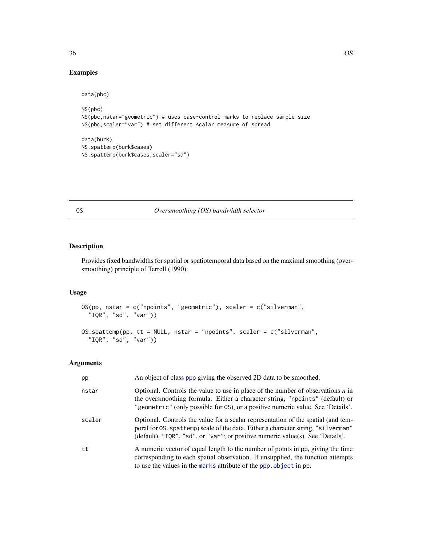## <span id="page-35-0"></span>Examples

```
data(pbc)
NS(pbc)
NS(pbc,nstar="geometric") # uses case-control marks to replace sample size
NS(pbc,scaler="var") # set different scalar measure of spread
data(burk)
NS.spattemp(burk$cases)
```
NS.spattemp(burk\$cases,scaler="sd")

## <span id="page-35-1"></span>OS *Oversmoothing (OS) bandwidth selector*

## <span id="page-35-2"></span>Description

Provides fixed bandwidths for spatial or spatiotemporal data based on the maximal smoothing (oversmoothing) principle of Terrell (1990).

## Usage

```
OS(pp, nstar = c("npoints", "geometric"), scaler = c("silverman",
  "IQR", "sd", "var"))
OS.spattemp(pp, tt = NULL, nstar = "npoints", scaler = c("silverman",
  "IQR", "sd", "var"))
```

| pp     | An object of class ppp giving the observed 2D data to be smoothed.                                                                                                                                                                                       |
|--------|----------------------------------------------------------------------------------------------------------------------------------------------------------------------------------------------------------------------------------------------------------|
| nstar  | Optional. Controls the value to use in place of the number of observations $n$ in<br>the oversmoothing formula. Either a character string, "npoints" (default) or<br>"geometric" (only possible for OS), or a positive numeric value. See 'Details'.     |
| scaler | Optional. Controls the value for a scalar representation of the spatial (and tem-<br>poral for 0S. spattemp) scale of the data. Either a character string, "silverman"<br>(default), "IQR", "sd", or "var"; or positive numeric value(s). See 'Details'. |
| tt     | A numeric vector of equal length to the number of points in pp, giving the time<br>corresponding to each spatial observation. If unsupplied, the function attempts<br>to use the values in the marks attribute of the ppp. object in pp.                 |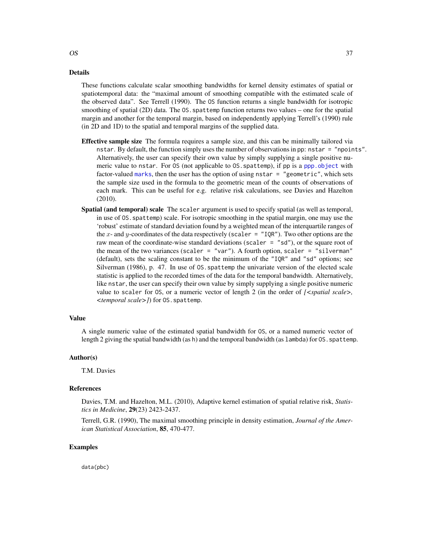#### <span id="page-36-0"></span>Details

These functions calculate scalar smoothing bandwidths for kernel density estimates of spatial or spatiotemporal data: the "maximal amount of smoothing compatible with the estimated scale of the observed data". See Terrell (1990). The OS function returns a single bandwidth for isotropic smoothing of spatial (2D) data. The 0S. spattemp function returns two values – one for the spatial margin and another for the temporal margin, based on independently applying Terrell's (1990) rule (in 2D and 1D) to the spatial and temporal margins of the supplied data.

- **Effective sample size** The formula requires a sample size, and this can be minimally tailored via nstar. By default, the function simply uses the number of observations in pp: nstar = "npoints". Alternatively, the user can specify their own value by simply supplying a single positive numeric value to nstar. For OS (not applicable to OS.spattemp), if pp is a [ppp.object](#page-0-0) with factor-valued [marks](#page-0-0), then the user has the option of using nstar = "geometric", which sets the sample size used in the formula to the geometric mean of the counts of observations of each mark. This can be useful for e.g. relative risk calculations, see Davies and Hazelton (2010).
- Spatial (and temporal) scale The scaler argument is used to specify spatial (as well as temporal, in use of OS.spattemp) scale. For isotropic smoothing in the spatial margin, one may use the 'robust' estimate of standard deviation found by a weighted mean of the interquartile ranges of the x- and y-coordinates of the data respectively (scaler = "IQR"). Two other options are the raw mean of the coordinate-wise standard deviations (scaler  $=$  "sd"), or the square root of the mean of the two variances (scaler = "var"). A fourth option, scaler = "silverman" (default), sets the scaling constant to be the minimum of the "IQR" and "sd" options; see Silverman (1986), p. 47. In use of OS.spattemp the univariate version of the elected scale statistic is applied to the recorded times of the data for the temporal bandwidth. Alternatively, like nstar, the user can specify their own value by simply supplying a single positive numeric value to scaler for OS, or a numeric vector of length 2 (in the order of *[<spatial scale>, <temporal scale>]*) for OS.spattemp.

#### Value

A single numeric value of the estimated spatial bandwidth for OS, or a named numeric vector of length 2 giving the spatial bandwidth (as h) and the temporal bandwidth (as lambda) for 0S. spattemp.

#### Author(s)

T.M. Davies

#### References

Davies, T.M. and Hazelton, M.L. (2010), Adaptive kernel estimation of spatial relative risk, *Statistics in Medicine*, 29(23) 2423-2437.

Terrell, G.R. (1990), The maximal smoothing principle in density estimation, *Journal of the American Statistical Association*, 85, 470-477.

## Examples

data(pbc)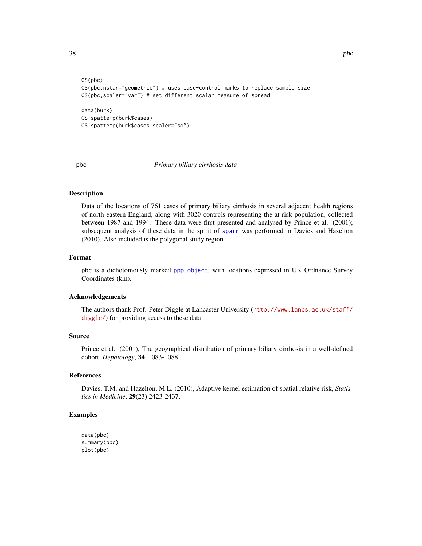```
OS(pbc)
OS(pbc,nstar="geometric") # uses case-control marks to replace sample size
OS(pbc,scaler="var") # set different scalar measure of spread
data(burk)
```

```
OS.spattemp(burk$cases)
OS.spattemp(burk$cases,scaler="sd")
```
<span id="page-37-1"></span>

pbc *Primary biliary cirrhosis data*

## Description

Data of the locations of 761 cases of primary biliary cirrhosis in several adjacent health regions of north-eastern England, along with 3020 controls representing the at-risk population, collected between 1987 and 1994. These data were first presented and analysed by Prince et al. (2001); subsequent analysis of these data in the spirit of [sparr](#page-1-1) was performed in Davies and Hazelton (2010). Also included is the polygonal study region.

## Format

pbc is a dichotomously marked [ppp.object](#page-0-0), with locations expressed in UK Ordnance Survey Coordinates (km).

#### Acknowledgements

The authors thank Prof. Peter Diggle at Lancaster University ([http://www.lancs.ac.uk/staff/](http://www.lancs.ac.uk/staff/diggle/) [diggle/](http://www.lancs.ac.uk/staff/diggle/)) for providing access to these data.

#### Source

Prince et al. (2001), The geographical distribution of primary biliary cirrhosis in a well-defined cohort, *Hepatology*, 34, 1083-1088.

## References

Davies, T.M. and Hazelton, M.L. (2010), Adaptive kernel estimation of spatial relative risk, *Statistics in Medicine*, 29(23) 2423-2437.

## Examples

```
data(pbc)
summary(pbc)
plot(pbc)
```
<span id="page-37-0"></span>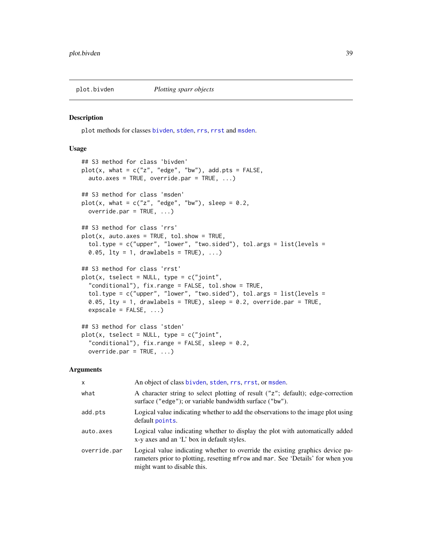<span id="page-38-1"></span><span id="page-38-0"></span>

#### <span id="page-38-2"></span>Description

plot methods for classes [bivden](#page-7-2), [stden](#page-48-2), [rrs](#page-43-2), [rrst](#page-51-2) and [msden](#page-28-2).

## Usage

```
## S3 method for class 'bivden'
plot(x, what = c("z", "edge", "bw"), add.pts = FALSE,auto.axes = TRUE, override.par = TRUE, ...)## S3 method for class 'msden'
plot(x, what = c("z", "edge", "bw"), sleep = 0.2,override.par = TRUE, ...)
## S3 method for class 'rrs'
plot(x, auto.axes = TRUE, tol.show = TRUE,tol.type = c("upper", "lower", "two.sided"), tol.args = list(levels =
  0.05, \text{lty} = 1, drawlabels = TRUE), ...)
## S3 method for class 'rrst'
plot(x, tselect = NULL, type = c("joint","conditional"), fix.range = FALSE, tol.show = TRUE,
  tol.type = c("upper", "lower", "two.sided"), tol.args = list(levels =
  0.05, lty = 1, drawlabels = TRUE), sleep = 0.2, override.par = TRUE,
  expscale = FALSE, ...)## S3 method for class 'stden'
plot(x, tselect = NULL, type = c("joint",
```
## "conditional"),  $fix.random = FALSE, sleep = 0.2,$ override.par =  $TRUE$ , ...)

| x            | An object of class bivden, stden, rrs, rrst, or msden.                                                                                                                                          |
|--------------|-------------------------------------------------------------------------------------------------------------------------------------------------------------------------------------------------|
| what         | A character string to select plotting of result ("z"; default); edge-correction<br>surface ("edge"); or variable bandwidth surface ("bw").                                                      |
| add.pts      | Logical value indicating whether to add the observations to the image plot using<br>default points.                                                                                             |
| auto.axes    | Logical value indicating whether to display the plot with automatically added<br>x-y axes and an 'L' box in default styles.                                                                     |
| override.par | Logical value indicating whether to override the existing graphics device pa-<br>rameters prior to plotting, resetting mfrow and mar. See 'Details' for when you<br>might want to disable this. |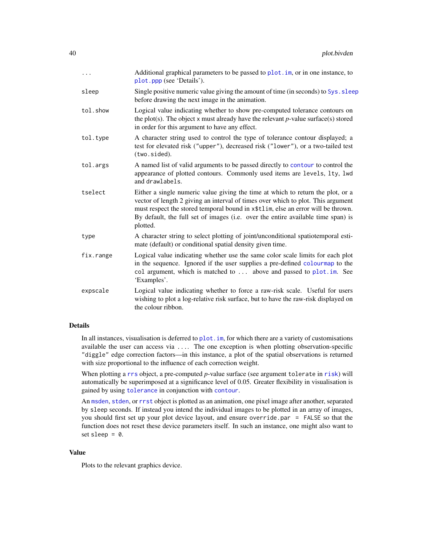<span id="page-39-0"></span>

| .         | Additional graphical parameters to be passed to plot. im, or in one instance, to<br>plot.ppp (see 'Details').                                                                                                                                                                                                                                           |
|-----------|---------------------------------------------------------------------------------------------------------------------------------------------------------------------------------------------------------------------------------------------------------------------------------------------------------------------------------------------------------|
| sleep     | Single positive numeric value giving the amount of time (in seconds) to Sys. sleep<br>before drawing the next image in the animation.                                                                                                                                                                                                                   |
| tol.show  | Logical value indicating whether to show pre-computed tolerance contours on<br>the plot(s). The object x must already have the relevant $p$ -value surface(s) stored<br>in order for this argument to have any effect.                                                                                                                                  |
| tol.type  | A character string used to control the type of tolerance contour displayed; a<br>test for elevated risk ("upper"), decreased risk ("lower"), or a two-tailed test<br>(two.sided).                                                                                                                                                                       |
| tol.args  | A named list of valid arguments to be passed directly to contour to control the<br>appearance of plotted contours. Commonly used items are levels, lty, lwd<br>and drawlabels.                                                                                                                                                                          |
| tselect   | Either a single numeric value giving the time at which to return the plot, or a<br>vector of length 2 giving an interval of times over which to plot. This argument<br>must respect the stored temporal bound in x\$tlim, else an error will be thrown.<br>By default, the full set of images (i.e. over the entire available time span) is<br>plotted. |
| type      | A character string to select plotting of joint/unconditional spatiotemporal esti-<br>mate (default) or conditional spatial density given time.                                                                                                                                                                                                          |
| fix.range | Logical value indicating whether use the same color scale limits for each plot<br>in the sequence. Ignored if the user supplies a pre-defined colour map to the<br>col argument, which is matched to  above and passed to plot.im. See<br>'Examples'.                                                                                                   |
| expscale  | Logical value indicating whether to force a raw-risk scale. Useful for users<br>wishing to plot a log-relative risk surface, but to have the raw-risk displayed on<br>the colour ribbon.                                                                                                                                                                |

## Details

In all instances, visualisation is deferred to plot. im, for which there are a variety of customisations available the user can access via .... The one exception is when plotting observation-specific "diggle" edge correction factors—in this instance, a plot of the spatial observations is returned with size proportional to the influence of each correction weight.

When plotting a [rrs](#page-43-2) object, a pre-computed *p*-value surface (see argument tolerate in [risk](#page-43-1)) will automatically be superimposed at a significance level of 0.05. Greater flexibility in visualisation is gained by using [tolerance](#page-57-1) in conjunction with [contour](#page-0-0).

An [msden](#page-28-2), [stden](#page-48-2), or [rrst](#page-51-2) object is plotted as an animation, one pixel image after another, separated by sleep seconds. If instead you intend the individual images to be plotted in an array of images, you should first set up your plot device layout, and ensure override.par = FALSE so that the function does not reset these device parameters itself. In such an instance, one might also want to set sleep  $= 0$ .

## Value

Plots to the relevant graphics device.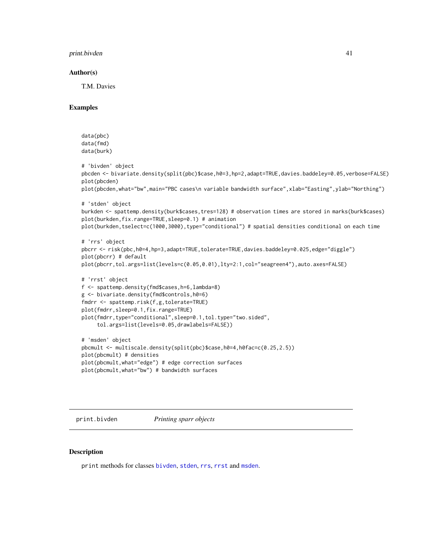<span id="page-40-0"></span>print.bivden 41

#### Author(s)

T.M. Davies

## Examples

```
data(pbc)
data(fmd)
data(burk)
# 'bivden' object
pbcden <- bivariate.density(split(pbc)$case,h0=3,hp=2,adapt=TRUE,davies.baddeley=0.05,verbose=FALSE)
plot(pbcden)
plot(pbcden,what="bw",main="PBC cases\n variable bandwidth surface",xlab="Easting",ylab="Northing")
# 'stden' object
burkden <- spattemp.density(burk$cases,tres=128) # observation times are stored in marks(burk$cases)
plot(burkden,fix.range=TRUE,sleep=0.1) # animation
plot(burkden,tselect=c(1000,3000),type="conditional") # spatial densities conditional on each time
```

```
# 'rrs' object
pbcrr <- risk(pbc,h0=4,hp=3,adapt=TRUE,tolerate=TRUE,davies.baddeley=0.025,edge="diggle")
plot(pbcrr) # default
plot(pbcrr,tol.args=list(levels=c(0.05,0.01),lty=2:1,col="seagreen4"),auto.axes=FALSE)
# 'rrst' object
f <- spattemp.density(fmd$cases,h=6,lambda=8)
g <- bivariate.density(fmd$controls,h0=6)
fmdrr <- spattemp.risk(f,g,tolerate=TRUE)
plot(fmdrr,sleep=0.1,fix.range=TRUE)
plot(fmdrr,type="conditional",sleep=0.1,tol.type="two.sided",
     tol.args=list(levels=0.05,drawlabels=FALSE))
# 'msden' object
pbcmult <- multiscale.density(split(pbc)$case,h0=4,h0fac=c(0.25,2.5))
plot(pbcmult) # densities
plot(pbcmult,what="edge") # edge correction surfaces
```

```
plot(pbcmult,what="bw") # bandwidth surfaces
```
<span id="page-40-1"></span>

print.bivden *Printing sparr objects*

## <span id="page-40-2"></span>Description

print methods for classes [bivden](#page-7-2), [stden](#page-48-2), [rrs](#page-43-2), [rrst](#page-51-2) and [msden](#page-28-2).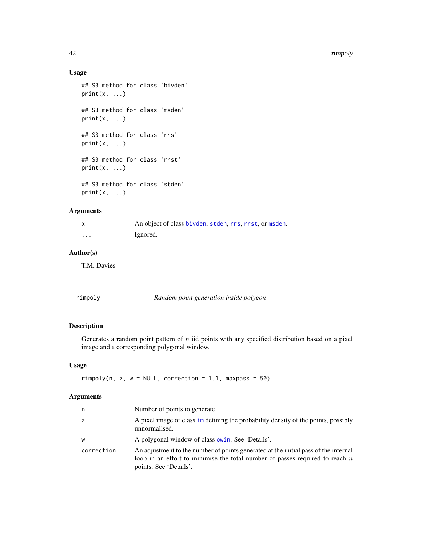## Usage

```
## S3 method for class 'bivden'
print(x, \ldots)## S3 method for class 'msden'
print(x, \ldots)## S3 method for class 'rrs'
print(x, \ldots)## S3 method for class 'rrst'
print(x, \ldots)## S3 method for class 'stden'
print(x, \ldots)
```
## Arguments

| X        | An object of class bivden, stden, rrs, rrst, or msden. |
|----------|--------------------------------------------------------|
| $\cdots$ | Ignored.                                               |

## Author(s)

T.M. Davies

<span id="page-41-1"></span>

| rimpoly | Random point generation inside polygon |
|---------|----------------------------------------|
|         |                                        |

## Description

Generates a random point pattern of  $n$  iid points with any specified distribution based on a pixel image and a corresponding polygonal window.

## Usage

 $rimpoly(n, z, w = NULL, correction = 1.1, maxpass = 50)$ 

| n          | Number of points to generate.                                                                                                                                                                   |
|------------|-------------------------------------------------------------------------------------------------------------------------------------------------------------------------------------------------|
| Z.         | A pixel image of class im defining the probability density of the points, possibly<br>unnormalised.                                                                                             |
| w          | A polygonal window of class owin. See 'Details'.                                                                                                                                                |
| correction | An adjustment to the number of points generated at the initial pass of the internal<br>loop in an effort to minimise the total number of passes required to reach $n$<br>points. See 'Details'. |

<span id="page-41-0"></span>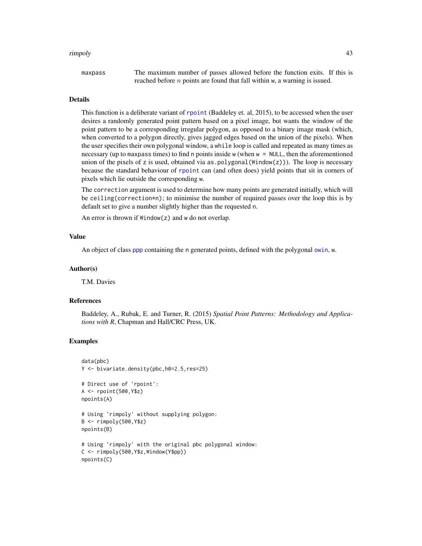#### <span id="page-42-0"></span>rimpoly 43

maxpass The maximum number of passes allowed before the function exits. If this is reached before *n* points are found that fall within w, a warning is issued.

#### Details

This function is a deliberate variant of [rpoint](#page-0-0) (Baddeley et. al, 2015), to be accessed when the user desires a randomly generated point pattern based on a pixel image, but wants the window of the point pattern to be a corresponding irregular polygon, as opposed to a binary image mask (which, when converted to a polygon directly, gives jagged edges based on the union of the pixels). When the user specifies their own polygonal window, a while loop is called and repeated as many times as necessary (up to maxpass times) to find n points inside w (when w = NULL, then the aforementioned union of the pixels of z is used, obtained via as.polygonal ( $Window(z))$ ). The loop is necessary because the standard behaviour of [rpoint](#page-0-0) can (and often does) yield points that sit in corners of pixels which lie outside the corresponding w.

The correction argument is used to determine how many points are generated initially, which will be ceiling(correction\*n); to minimise the number of required passes over the loop this is by default set to give a number slightly higher than the requested n.

An error is thrown if Window(z) and w do not overlap.

#### Value

An object of class [ppp](#page-0-0) containing the n generated points, defined with the polygonal [owin](#page-0-0), w.

#### Author(s)

T.M. Davies

#### References

Baddeley, A., Rubak, E. and Turner, R. (2015) *Spatial Point Patterns: Methodology and Applications with R*, Chapman and Hall/CRC Press, UK.

## Examples

```
data(pbc)
Y <- bivariate.density(pbc,h0=2.5,res=25)
# Direct use of 'rpoint':
A <- rpoint(500,Y$z)
npoints(A)
# Using 'rimpoly' without supplying polygon:
B <- rimpoly(500,Y$z)
npoints(B)
# Using 'rimpoly' with the original pbc polygonal window:
C <- rimpoly(500,Y$z,Window(Y$pp))
npoints(C)
```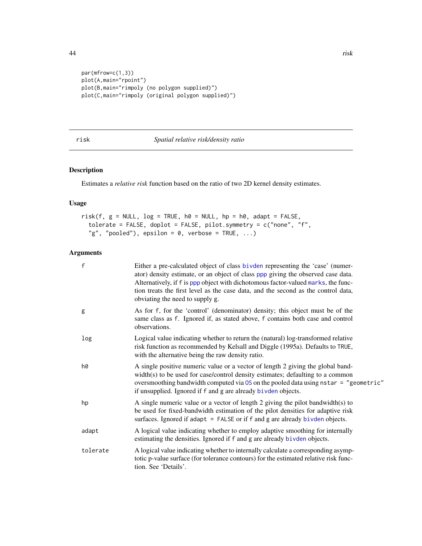```
par(mfrow=c(1,3))
plot(A,main="rpoint")
plot(B,main="rimpoly (no polygon supplied)")
plot(C,main="rimpoly (original polygon supplied)")
```
#### <span id="page-43-1"></span>risk *Spatial relative risk/density ratio*

## <span id="page-43-2"></span>Description

Estimates a *relative risk* function based on the ratio of two 2D kernel density estimates.

## Usage

```
risk(f, g = NULL, log = TRUE, h0 = NULL, hp = h0, adapt = FALSE,tolerate = FALSE, doplot = FALSE, pilot.symmetry = c("none", "f",
  "g", "pooled"), epsilon = 0, verbose = TRUE, \ldots)
```

| $\mathsf{f}$ | Either a pre-calculated object of class bivden representing the 'case' (numer-<br>ator) density estimate, or an object of class ppp giving the observed case data.<br>Alternatively, if f is ppp object with dichotomous factor-valued marks, the func-<br>tion treats the first level as the case data, and the second as the control data,<br>obviating the need to supply g. |
|--------------|---------------------------------------------------------------------------------------------------------------------------------------------------------------------------------------------------------------------------------------------------------------------------------------------------------------------------------------------------------------------------------|
| g            | As for f, for the 'control' (denominator) density; this object must be of the<br>same class as f. Ignored if, as stated above, f contains both case and control<br>observations.                                                                                                                                                                                                |
| log          | Logical value indicating whether to return the (natural) log-transformed relative<br>risk function as recommended by Kelsall and Diggle (1995a). Defaults to TRUE,<br>with the alternative being the raw density ratio.                                                                                                                                                         |
| h0           | A single positive numeric value or a vector of length 2 giving the global band-<br>width(s) to be used for case/control density estimates; defaulting to a common<br>oversmoothing bandwidth computed via 0S on the pooled data using nstar = "geometric"<br>if unsupplied. Ignored if f and g are already bivden objects.                                                      |
| hp           | A single numeric value or a vector of length 2 giving the pilot bandwidth(s) to<br>be used for fixed-bandwidth estimation of the pilot densities for adaptive risk<br>surfaces. Ignored if adapt = FALSE or if f and g are already bivden objects.                                                                                                                              |
| adapt        | A logical value indicating whether to employ adaptive smoothing for internally<br>estimating the densities. Ignored if f and g are already bivden objects.                                                                                                                                                                                                                      |
| tolerate     | A logical value indicating whether to internally calculate a corresponding asymp-<br>totic p-value surface (for tolerance contours) for the estimated relative risk func-<br>tion. See 'Details'.                                                                                                                                                                               |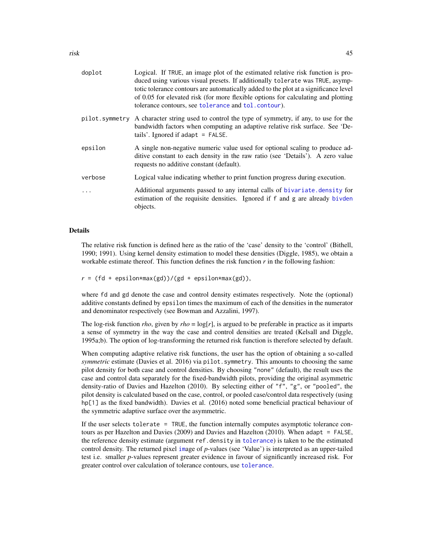<span id="page-44-0"></span>

| doplot    | Logical. If TRUE, an image plot of the estimated relative risk function is pro-<br>duced using various visual presets. If additionally tolerate was TRUE, asymp-<br>totic tolerance contours are automatically added to the plot at a significance level<br>of 0.05 for elevated risk (for more flexible options for calculating and plotting<br>tolerance contours, see tolerance and tol. contour). |
|-----------|-------------------------------------------------------------------------------------------------------------------------------------------------------------------------------------------------------------------------------------------------------------------------------------------------------------------------------------------------------------------------------------------------------|
|           | pilot. symmetry A character string used to control the type of symmetry, if any, to use for the<br>bandwidth factors when computing an adaptive relative risk surface. See 'De-<br>tails'. Ignored if $adapt = FALSE$ .                                                                                                                                                                               |
| epsilon   | A single non-negative numeric value used for optional scaling to produce ad-<br>ditive constant to each density in the raw ratio (see 'Details'). A zero value<br>requests no additive constant (default).                                                                                                                                                                                            |
| verbose   | Logical value indicating whether to print function progress during execution.                                                                                                                                                                                                                                                                                                                         |
| $\ddotsc$ | Additional arguments passed to any internal calls of bivariate. density for<br>estimation of the requisite densities. Ignored if f and g are already bivden<br>objects.                                                                                                                                                                                                                               |

## Details

The relative risk function is defined here as the ratio of the 'case' density to the 'control' (Bithell, 1990; 1991). Using kernel density estimation to model these densities (Diggle, 1985), we obtain a workable estimate thereof. This function defines the risk function *r* in the following fashion:

 $r = (fd + epsilon * max(gd))/(gd + epsilon * max(gd)),$ 

where fd and gd denote the case and control density estimates respectively. Note the (optional) additive constants defined by epsilon times the maximum of each of the densities in the numerator and denominator respectively (see Bowman and Azzalini, 1997).

The log-risk function *rho*, given by *rho* = log[*r*], is argued to be preferable in practice as it imparts a sense of symmetry in the way the case and control densities are treated (Kelsall and Diggle, 1995a;b). The option of log-transforming the returned risk function is therefore selected by default.

When computing adaptive relative risk functions, the user has the option of obtaining a so-called *symmetric* estimate (Davies et al. 2016) via pilot.symmetry. This amounts to choosing the same pilot density for both case and control densities. By choosing "none" (default), the result uses the case and control data separately for the fixed-bandwidth pilots, providing the original asymmetric density-ratio of Davies and Hazelton (2010). By selecting either of "f", "g", or "pooled", the pilot density is calculated based on the case, control, or pooled case/control data respectively (using hp[1] as the fixed bandwidth). Davies et al. (2016) noted some beneficial practical behaviour of the symmetric adaptive surface over the asymmetric.

If the user selects tolerate = TRUE, the function internally computes asymptotic tolerance contours as per Hazelton and Davies (2009) and Davies and Hazelton (2010). When adapt = FALSE, the reference density estimate (argument ref.density in [tolerance](#page-57-1)) is taken to be the estimated control density. The returned pixel [im](#page-0-0)age of *p*-values (see 'Value') is interpreted as an upper-tailed test i.e. smaller *p*-values represent greater evidence in favour of significantly increased risk. For greater control over calculation of tolerance contours, use [tolerance](#page-57-1).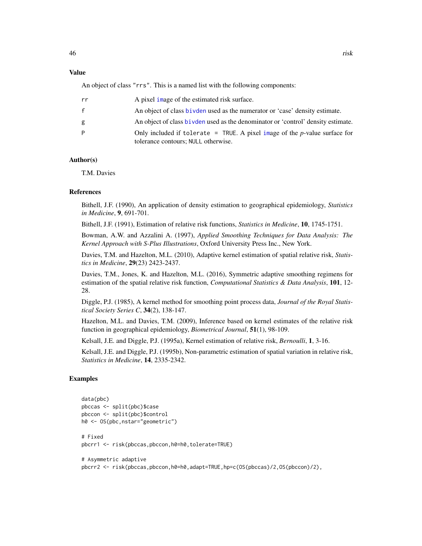#### <span id="page-45-0"></span>Value

An object of class "rrs". This is a named list with the following components:

| rr           | A pixel image of the estimated risk surface.                                                                         |
|--------------|----------------------------------------------------------------------------------------------------------------------|
| $\mathbf{f}$ | An object of class bivden used as the numerator or 'case' density estimate.                                          |
| g            | An object of class bivden used as the denominator or 'control' density estimate.                                     |
| P            | Only included if tolerate = TRUE. A pixel image of the $p$ -value surface for<br>tolerance contours; NULL otherwise. |

## Author(s)

T.M. Davies

#### **References**

Bithell, J.F. (1990), An application of density estimation to geographical epidemiology, *Statistics in Medicine*, 9, 691-701.

Bithell, J.F. (1991), Estimation of relative risk functions, *Statistics in Medicine*, 10, 1745-1751.

Bowman, A.W. and Azzalini A. (1997), *Applied Smoothing Techniques for Data Analysis: The Kernel Approach with S-Plus Illustrations*, Oxford University Press Inc., New York.

Davies, T.M. and Hazelton, M.L. (2010), Adaptive kernel estimation of spatial relative risk, *Statistics in Medicine*, 29(23) 2423-2437.

Davies, T.M., Jones, K. and Hazelton, M.L. (2016), Symmetric adaptive smoothing regimens for estimation of the spatial relative risk function, *Computational Statistics & Data Analysis*, 101, 12- 28.

Diggle, P.J. (1985), A kernel method for smoothing point process data, *Journal of the Royal Statistical Society Series C*, 34(2), 138-147.

Hazelton, M.L. and Davies, T.M. (2009), Inference based on kernel estimates of the relative risk function in geographical epidemiology, *Biometrical Journal*, 51(1), 98-109.

Kelsall, J.E. and Diggle, P.J. (1995a), Kernel estimation of relative risk, *Bernoulli*, 1, 3-16.

Kelsall, J.E. and Diggle, P.J. (1995b), Non-parametric estimation of spatial variation in relative risk, *Statistics in Medicine*, 14, 2335-2342.

#### Examples

```
data(pbc)
pbccas <- split(pbc)$case
pbccon <- split(pbc)$control
h0 <- OS(pbc,nstar="geometric")
# Fixed
pbcrr1 <- risk(pbccas,pbccon,h0=h0,tolerate=TRUE)
# Asymmetric adaptive
```
pbcrr2 <- risk(pbccas,pbccon,h0=h0,adapt=TRUE,hp=c(OS(pbccas)/2,OS(pbccon)/2),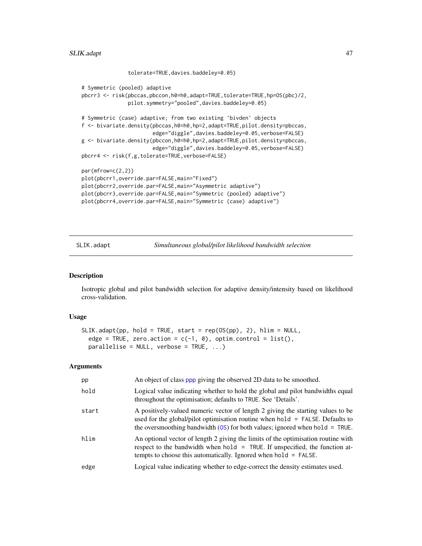```
tolerate=TRUE,davies.baddeley=0.05)
# Symmetric (pooled) adaptive
pbcrr3 <- risk(pbccas,pbccon,h0=h0,adapt=TRUE,tolerate=TRUE,hp=OS(pbc)/2,
               pilot.symmetry="pooled",davies.baddeley=0.05)
# Symmetric (case) adaptive; from two existing 'bivden' objects
f <- bivariate.density(pbccas,h0=h0,hp=2,adapt=TRUE,pilot.density=pbccas,
                       edge="diggle",davies.baddeley=0.05,verbose=FALSE)
g <- bivariate.density(pbccon,h0=h0,hp=2,adapt=TRUE,pilot.density=pbccas,
                       edge="diggle",davies.baddeley=0.05,verbose=FALSE)
pbcrr4 <- risk(f,g,tolerate=TRUE,verbose=FALSE)
par(mfrow=c(2,2))
plot(pbcrr1,override.par=FALSE,main="Fixed")
plot(pbcrr2,override.par=FALSE,main="Asymmetric adaptive")
plot(pbcrr3,override.par=FALSE,main="Symmetric (pooled) adaptive")
plot(pbcrr4,override.par=FALSE,main="Symmetric (case) adaptive")
```
<span id="page-46-1"></span>SLIK.adapt *Simultaneous global/pilot likelihood bandwidth selection*

#### Description

Isotropic global and pilot bandwidth selection for adaptive density/intensity based on likelihood cross-validation.

#### Usage

```
SLIK.adapt(pp, hold = TRUE, start = rep(OS(pp), 2), hlim = NULL,
  edge = TRUE, zero.action = c(-1, 0), optim.control = list(),
 parallelise = NULL, verbose = TRUE, ...)
```

| pp    | An object of class ppp giving the observed 2D data to be smoothed.                                                                                                                                                                                   |
|-------|------------------------------------------------------------------------------------------------------------------------------------------------------------------------------------------------------------------------------------------------------|
| hold  | Logical value indicating whether to hold the global and pilot bandwidths equal<br>throughout the optimisation; defaults to TRUE. See 'Details'.                                                                                                      |
| start | A positively-valued numeric vector of length 2 giving the starting values to be<br>used for the global/pilot optimisation routine when $hold = FALSE$ . Defaults to<br>the oversmoothing bandwidth $(OS)$ for both values; ignored when hold = TRUE. |
| hlim  | An optional vector of length 2 giving the limits of the optimisation routine with<br>respect to the bandwidth when hold = TRUE. If unspecified, the function at-<br>tempts to choose this automatically. Ignored when hold = FALSE.                  |
| edge  | Logical value indicating whether to edge-correct the density estimates used.                                                                                                                                                                         |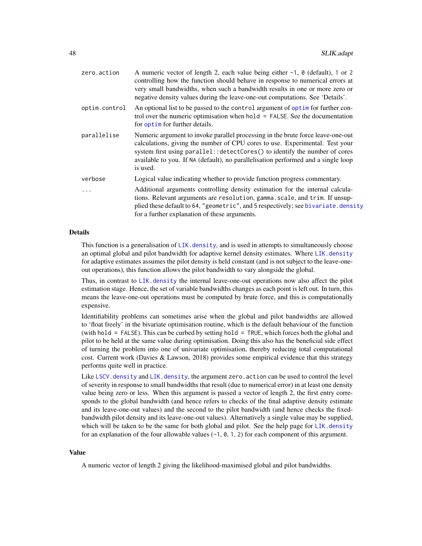<span id="page-47-0"></span>

| zero.action   | A numeric vector of length 2, each value being either $-1$ , $\theta$ (default), 1 or 2<br>controlling how the function should behave in response to numerical errors at<br>very small bandwidths, when such a bandwidth results in one or more zero or<br>negative density values during the leave-one-out computations. See 'Details'.        |
|---------------|-------------------------------------------------------------------------------------------------------------------------------------------------------------------------------------------------------------------------------------------------------------------------------------------------------------------------------------------------|
| optim.control | An optional list to be passed to the control argument of optim for further con-<br>trol over the numeric optimisation when $hold = FALSE$ . See the documentation<br>for optime for further details.                                                                                                                                            |
| parallelise   | Numeric argument to invoke parallel processing in the brute force leave-one-out<br>calculations, giving the number of CPU cores to use. Experimental. Test your<br>system first using parallel:: detectCores() to identify the number of cores<br>available to you. If NA (default), no parallelisation performed and a single loop<br>is used. |
| verbose       | Logical value indicating whether to provide function progress commentary.                                                                                                                                                                                                                                                                       |
| $\ddots$      | Additional arguments controlling density estimation for the internal calcula-<br>tions. Relevant arguments are resolution, gamma.scale, and trim. If unsup-<br>plied these default to 64, "geometric", and 5 respectively; see bivariate.density<br>for a further explanation of these arguments.                                               |

#### Details

This function is a generalisation of  $LIK$ . density, and is used in attempts to simultaneously choose an optimal global and pilot bandwidth for adaptive kernel density estimates. Where [LIK.density](#page-20-2) for adaptive estimates assumes the pilot density is held constant (and is not subject to the leave-oneout operations), this function allows the pilot bandwidth to vary alongside the global.

Thus, in contrast to [LIK.density](#page-20-2) the internal leave-one-out operations now also affect the pilot estimation stage. Hence, the set of variable bandwidths changes as each point is left out. In turn, this means the leave-one-out operations must be computed by brute force, and this is computationally expensive.

Identifiability problems can sometimes arise when the global and pilot bandwidths are allowed to 'float freely' in the bivariate optimisation routine, which is the default behaviour of the function (with hold = FALSE). This can be curbed by setting hold = TRUE, which forces both the global and pilot to be held at the same value during optimisation. Doing this also has the beneficial side effect of turning the problem into one of univariate optimisation, thereby reducing total computational cost. Current work (Davies & Lawson, 2018) provides some empirical evidence that this strategy performs quite well in practice.

Like LSCV. density and LIK. density, the argument zero. action can be used to control the level of severity in response to small bandwidths that result (due to numerical error) in at least one density value being zero or less. When this argument is passed a vector of length 2, the first entry corresponds to the global bandwidth (and hence refers to checks of the final adaptive density estimate and its leave-one-out values) and the second to the pilot bandwidth (and hence checks the fixedbandwidth pilot density and its leave-one-out values). Alternatively a single value may be supplied, which will be taken to be the same for both global and pilot. See the help page for  $LIK$ , density for an explanation of the four allowable values  $(-1, 0, 1, 2)$  for each component of this argument.

## Value

A numeric vector of length 2 giving the likelihood-maximised global and pilot bandwidths.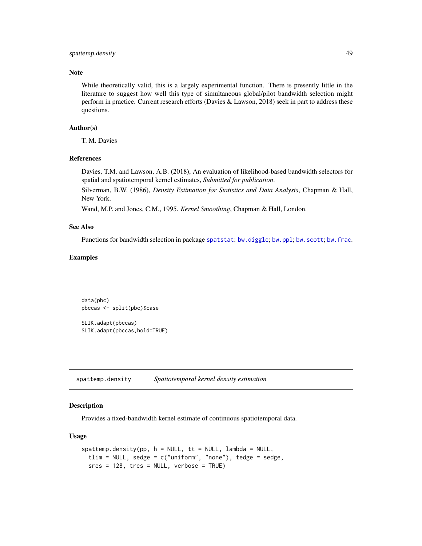## <span id="page-48-0"></span>spattemp.density 49

## Note

While theoretically valid, this is a largely experimental function. There is presently little in the literature to suggest how well this type of simultaneous global/pilot bandwidth selection might perform in practice. Current research efforts (Davies & Lawson, 2018) seek in part to address these questions.

## Author(s)

T. M. Davies

## References

Davies, T.M. and Lawson, A.B. (2018), An evaluation of likelihood-based bandwidth selectors for spatial and spatiotemporal kernel estimates, *Submitted for publication*.

Silverman, B.W. (1986), *Density Estimation for Statistics and Data Analysis*, Chapman & Hall, New York.

Wand, M.P. and Jones, C.M., 1995. *Kernel Smoothing*, Chapman & Hall, London.

#### See Also

Functions for bandwidth selection in package [spatstat](#page-0-0): [bw.diggle](#page-0-0); [bw.ppl](#page-0-0); [bw.scott](#page-0-0); [bw.frac](#page-0-0).

#### Examples

data(pbc) pbccas <- split(pbc)\$case

SLIK.adapt(pbccas) SLIK.adapt(pbccas,hold=TRUE)

<span id="page-48-1"></span>spattemp.density *Spatiotemporal kernel density estimation*

#### <span id="page-48-2"></span>Description

Provides a fixed-bandwidth kernel estimate of continuous spatiotemporal data.

#### Usage

```
spattemp.density(pp, h = NULL, tt = NULL, lambda = NULL,
 tlim = NULL, sedge = c("uniform", "none"), tedge = sedge,sres = 128, tres = NULL, verbose = TRUE)
```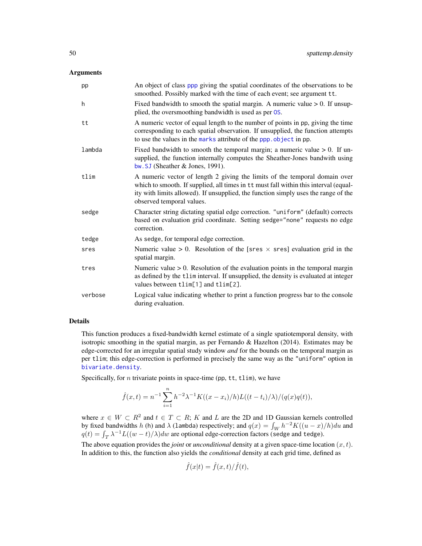#### <span id="page-49-0"></span>Arguments

| pp      | An object of class ppp giving the spatial coordinates of the observations to be<br>smoothed. Possibly marked with the time of each event; see argument tt.                                                                                                                            |
|---------|---------------------------------------------------------------------------------------------------------------------------------------------------------------------------------------------------------------------------------------------------------------------------------------|
| h       | Fixed bandwidth to smooth the spatial margin. A numeric value $> 0$ . If unsup-<br>plied, the oversmoothing bandwidth is used as per OS.                                                                                                                                              |
| tt      | A numeric vector of equal length to the number of points in pp, giving the time<br>corresponding to each spatial observation. If unsupplied, the function attempts<br>to use the values in the marks attribute of the ppp. object in pp.                                              |
| lambda  | Fixed bandwidth to smooth the temporal margin; a numeric value $> 0$ . If un-<br>supplied, the function internally computes the Sheather-Jones bandwith using<br>bw. SJ (Sheather $\&$ Jones, 1991).                                                                                  |
| tlim    | A numeric vector of length 2 giving the limits of the temporal domain over<br>which to smooth. If supplied, all times in tt must fall within this interval (equal-<br>ity with limits allowed). If unsupplied, the function simply uses the range of the<br>observed temporal values. |
| sedge   | Character string dictating spatial edge correction. "uniform" (default) corrects<br>based on evaluation grid coordinate. Setting sedge="none" requests no edge<br>correction.                                                                                                         |
| tedge   | As sedge, for temporal edge correction.                                                                                                                                                                                                                                               |
| sres    | Numeric value > 0. Resolution of the [sres $\times$ sres] evaluation grid in the<br>spatial margin.                                                                                                                                                                                   |
| tres    | Numeric value $> 0$ . Resolution of the evaluation points in the temporal margin<br>as defined by the tlim interval. If unsupplied, the density is evaluated at integer<br>values between tlim[1] and tlim[2].                                                                        |
| verbose | Logical value indicating whether to print a function progress bar to the console<br>during evaluation.                                                                                                                                                                                |

#### Details

This function produces a fixed-bandwidth kernel estimate of a single spatiotemporal density, with isotropic smoothing in the spatial margin, as per Fernando  $\&$  Hazelton (2014). Estimates may be edge-corrected for an irregular spatial study window *and* for the bounds on the temporal margin as per tlim; this edge-correction is performed in precisely the same way as the "uniform" option in [bivariate.density](#page-7-1).

Specifically, for  $n$  trivariate points in space-time (pp,  $tt$ ,  $ttlim$ ), we have

$$
\hat{f}(x,t) = n^{-1} \sum_{i=1}^{n} h^{-2} \lambda^{-1} K((x - x_i)/h) L((t - t_i)/\lambda) / (q(x)q(t)),
$$

where  $x \in W \subset R^2$  and  $t \in T \subset R$ ; K and L are the 2D and 1D Gaussian kernels controlled by fixed bandwidths h (h) and  $\lambda$  (lambda) respectively; and  $q(x) = \int_W h^{-2}K((u-x)/h)du$  and  $q(t) = \int_T \lambda^{-1} L((w - t)/\lambda) dw$  are optional edge-correction factors (sedge and tedge).

The above equation provides the *joint* or *unconditional* density at a given space-time location  $(x, t)$ . In addition to this, the function also yields the *conditional* density at each grid time, defined as

$$
\hat{f}(x|t) = \hat{f}(x,t)/\hat{f}(t),
$$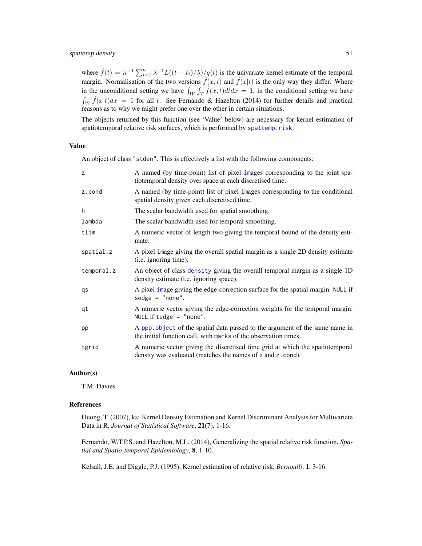#### <span id="page-50-0"></span>spattemp.density 51

where  $\hat{f}(t) = n^{-1} \sum_{i=1}^{n} \lambda^{-1} L((t - t_i)/\lambda)/q(t)$  is the univariate kernel estimate of the temporal margin. Normalisation of the two versions  $\hat{f}(x,t)$  and  $\hat{f}(x|t)$  is the only way they differ. Where in the unconditional setting we have  $\int_W \int_T \hat{f}(x, t) dt dx = 1$ , in the conditional setting we have  $\int_W \hat{f}(x|t)dx = 1$  for all t. See Fernando & Hazelton (2014) for further details and practical reasons as to why we might prefer one over the other in certain situations.

The objects returned by this function (see 'Value' below) are necessary for kernel estimation of spatiotemporal relative risk surfaces, which is performed by [spattemp.risk](#page-51-1).

#### Value

An object of class "stden". This is effectively a list with the following components:

| z          | A named (by time-point) list of pixel images corresponding to the joint spa-<br>tiotemporal density over space at each discretised time.       |
|------------|------------------------------------------------------------------------------------------------------------------------------------------------|
| z.cond     | A named (by time-point) list of pixel images corresponding to the conditional<br>spatial density given each discretised time.                  |
| h          | The scalar bandwidth used for spatial smoothing.                                                                                               |
| lambda     | The scalar bandwidth used for temporal smoothing.                                                                                              |
| tlim       | A numeric vector of length two giving the temporal bound of the density esti-<br>mate.                                                         |
| spatial.z  | A pixel image giving the overall spatial margin as a single 2D density estimate<br>( <i>i.e.</i> ignoring time).                               |
| temporal.z | An object of class density giving the overall temporal margin as a single 1D<br>density estimate (i.e. ignoring space).                        |
| qs         | A pixel image giving the edge-correction surface for the spatial margin. NULL if<br>$sedge = "none".$                                          |
| qt         | A numeric vector giving the edge-correction weights for the temporal margin.<br>NULL if tedge = $"none".$                                      |
| pp         | A ppp object of the spatial data passed to the argument of the same name in<br>the initial function call, with marks of the observation times. |
| tgrid      | A numeric vector giving the discretised time grid at which the spatiotemporal<br>density was evaluated (matches the names of z and z . cond).  |

#### Author(s)

T.M. Davies

#### References

Duong, T. (2007), ks: Kernel Density Estimation and Kernel Discriminant Analysis for Multivariate Data in R, *Journal of Statistical Software*, 21(7), 1-16.

Fernando, W.T.P.S. and Hazelton, M.L. (2014), Generalizing the spatial relative risk function, *Spatial and Spatio-temporal Epidemiology*, 8, 1-10.

Kelsall, J.E. and Diggle, P.J. (1995), Kernel estimation of relative risk, *Bernoulli*, 1, 3-16.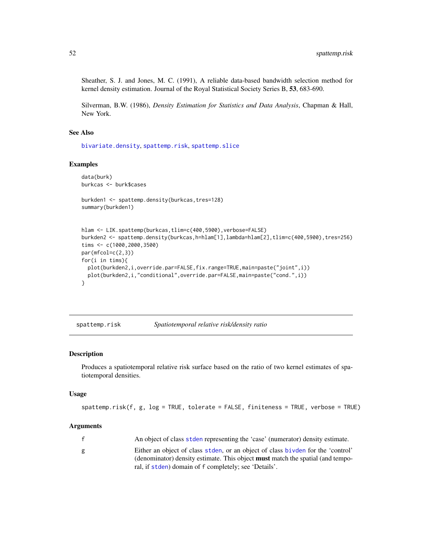<span id="page-51-0"></span>Sheather, S. J. and Jones, M. C. (1991), A reliable data-based bandwidth selection method for kernel density estimation. Journal of the Royal Statistical Society Series B, 53, 683-690.

Silverman, B.W. (1986), *Density Estimation for Statistics and Data Analysis*, Chapman & Hall, New York.

#### See Also

[bivariate.density](#page-7-1), [spattemp.risk](#page-51-1), [spattemp.slice](#page-54-1)

## Examples

```
data(burk)
burkcas <- burk$cases
burkden1 <- spattemp.density(burkcas,tres=128)
summary(burkden1)
hlam <- LIK.spattemp(burkcas,tlim=c(400,5900),verbose=FALSE)
burkden2 <- spattemp.density(burkcas,h=hlam[1],lambda=hlam[2],tlim=c(400,5900),tres=256)
tims <- c(1000,2000,3500)
par(mfcol=c(2,3))for(i in tims){
 plot(burkden2,i,override.par=FALSE,fix.range=TRUE,main=paste("joint",i))
 plot(burkden2,i,"conditional",override.par=FALSE,main=paste("cond.",i))
}
```
<span id="page-51-1"></span>spattemp.risk *Spatiotemporal relative risk/density ratio*

#### <span id="page-51-2"></span>Description

Produces a spatiotemporal relative risk surface based on the ratio of two kernel estimates of spatiotemporal densities.

#### Usage

```
spattemp.risk(f, g, log = TRUE, tolerate = FALSE, finiteness = TRUE, verbose = TRUE)
```

| f | An object of class stden representing the 'case' (numerator) density estimate.        |
|---|---------------------------------------------------------------------------------------|
| g | Either an object of class stden, or an object of class bivden for the 'control'       |
|   | (denominator) density estimate. This object <b>must</b> match the spatial (and tempo- |
|   | ral, if stden) domain of f completely; see 'Details'.                                 |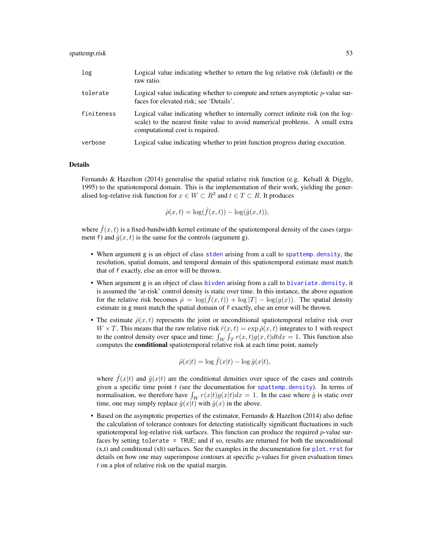<span id="page-52-0"></span>

| log        | Logical value indicating whether to return the log relative risk (default) or the<br>raw ratio.                                                                                                       |
|------------|-------------------------------------------------------------------------------------------------------------------------------------------------------------------------------------------------------|
| tolerate   | Logical value indicating whether to compute and return asymptotic $p$ -value sur-<br>faces for elevated risk; see 'Details'.                                                                          |
| finiteness | Logical value indicating whether to internally correct infinite risk (on the log-<br>scale) to the nearest finite value to avoid numerical problems. A small extra<br>computational cost is required. |

verbose Logical value indicating whether to print function progress during execution.

#### Details

Fernando & Hazelton (2014) generalise the spatial relative risk function (e.g. Kelsall & Diggle, 1995) to the spatiotemporal domain. This is the implementation of their work, yielding the generalised log-relative risk function for  $x \in W \subset R^2$  and  $t \in T \subset R$ . It produces

$$
\hat{\rho}(x,t) = \log(\hat{f}(x,t)) - \log(\hat{g}(x,t)),
$$

where  $\hat{f}(x, t)$  is a fixed-bandwidth kernel estimate of the spatiotemporal density of the cases (argument f) and  $\hat{q}(x, t)$  is the same for the controls (argument g).

- When argument g is an object of class [stden](#page-48-2) arising from a call to [spattemp.density](#page-48-1), the resolution, spatial domain, and temporal domain of this spatiotemporal estimate must match that of f exactly, else an error will be thrown.
- When argument g is an object of class [bivden](#page-7-2) arising from a call to [bivariate.density](#page-7-1), it is assumed the 'at-risk' control density is static over time. In this instance, the above equation for the relative risk becomes  $\hat{\rho} = \log(f(x, t)) + \log |T| - \log(g(x))$ . The spatial density estimate in g must match the spatial domain of f exactly, else an error will be thrown.
- The estimate  $\hat{\rho}(x, t)$  represents the joint or unconditional spatiotemporal relative risk over  $W \times T$ . This means that the raw relative risk  $\hat{r}(x, t) = \exp \hat{\rho}(x, t)$  integrates to 1 with respect to the control density over space and time:  $\int_W \int_T r(x, t)g(x, t)dt dx = 1$ . This function also computes the conditional spatiotemporal relative risk at each time point, namely

$$
\hat{\rho}(x|t) = \log \hat{f}(x|t) - \log \hat{g}(x|t),
$$

where  $\hat{f}(x|t)$  and  $\hat{g}(x|t)$  are the conditional densities over space of the cases and controls given a specific time point  $t$  (see the documentation for [spattemp.density](#page-48-1)). In terms of normalisation, we therefore have  $\int_W r(x|t)g(x|t)dx = 1$ . In the case where  $\hat{g}$  is static over time, one may simply replace  $\hat{g}(x|t)$  with  $\hat{g}(x)$  in the above.

• Based on the asymptotic properties of the estimator, Fernando & Hazelton (2014) also define the calculation of tolerance contours for detecting statistically significant fluctuations in such spatiotemporal log-relative risk surfaces. This function can produce the required  $p$ -value surfaces by setting tolerate = TRUE; and if so, results are returned for both the unconditional  $(x,t)$  and conditional  $(x|t)$  surfaces. See the examples in the documentation for [plot.rrst](#page-38-2) for details on how one may superimpose contours at specific  $p$ -values for given evaluation times t on a plot of relative risk on the spatial margin.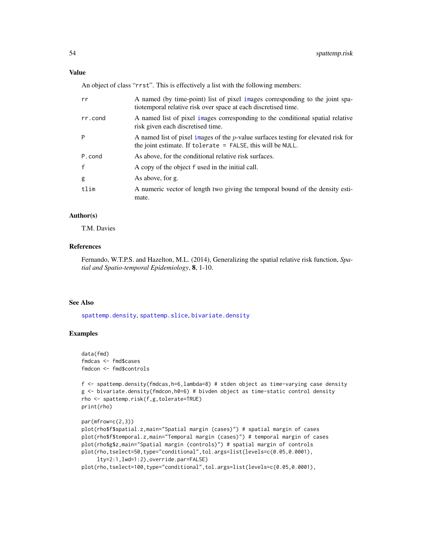<span id="page-53-0"></span>An object of class "rrst". This is effectively a list with the following members:

| rr           | A named (by time-point) list of pixel images corresponding to the joint spa-<br>tiotemporal relative risk over space at each discretised time.         |
|--------------|--------------------------------------------------------------------------------------------------------------------------------------------------------|
| rr.cond      | A named list of pixel images corresponding to the conditional spatial relative<br>risk given each discretised time.                                    |
| P            | A named list of pixel images of the $p$ -value surfaces testing for elevated risk for<br>the joint estimate. If tolerate $=$ FALSE, this will be NULL. |
| P.cond       | As above, for the conditional relative risk surfaces.                                                                                                  |
| $\mathbf{f}$ | A copy of the object f used in the initial call.                                                                                                       |
| g            | As above, for g.                                                                                                                                       |
| tlim         | A numeric vector of length two giving the temporal bound of the density esti-<br>mate.                                                                 |

## Author(s)

T.M. Davies

## References

Fernando, W.T.P.S. and Hazelton, M.L. (2014), Generalizing the spatial relative risk function, *Spatial and Spatio-temporal Epidemiology*, 8, 1-10.

## See Also

[spattemp.density](#page-48-1), [spattemp.slice](#page-54-1), [bivariate.density](#page-7-1)

## Examples

```
data(fmd)
fmdcas <- fmd$cases
fmdcon <- fmd$controls
```

```
f <- spattemp.density(fmdcas,h=6,lambda=8) # stden object as time-varying case density
g <- bivariate.density(fmdcon,h0=6) # bivden object as time-static control density
rho <- spattemp.risk(f,g,tolerate=TRUE)
print(rho)
```

```
par(mfrow=c(2,3))
plot(rho$f$spatial.z,main="Spatial margin (cases)") # spatial margin of cases
plot(rho$f$temporal.z,main="Temporal margin (cases)") # temporal margin of cases
plot(rho$g$z,main="Spatial margin (controls)") # spatial margin of controls
plot(rho,tselect=50,type="conditional",tol.args=list(levels=c(0.05,0.0001),
     lty=2:1,lwd=1:2),override.par=FALSE)
plot(rho,tselect=100,type="conditional",tol.args=list(levels=c(0.05,0.0001),
```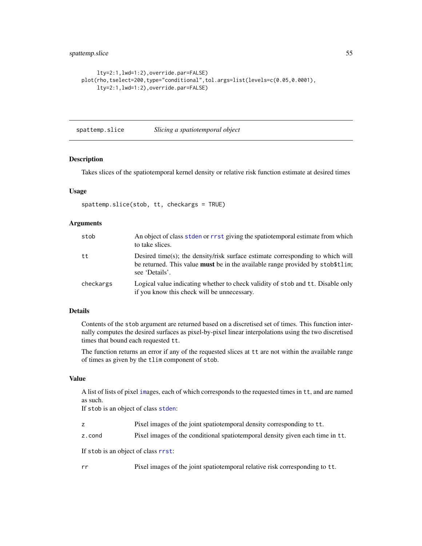```
lty=2:1,lwd=1:2),override.par=FALSE)
plot(rho,tselect=200,type="conditional",tol.args=list(levels=c(0.05,0.0001),
    lty=2:1,lwd=1:2),override.par=FALSE)
```
<span id="page-54-1"></span>spattemp.slice *Slicing a spatiotemporal object*

#### Description

Takes slices of the spatiotemporal kernel density or relative risk function estimate at desired times

#### Usage

spattemp.slice(stob, tt, checkargs = TRUE)

## Arguments

| stob      | An object of class stden or r rst giving the spatioley or all estimate from which<br>to take slices.                                                                                       |
|-----------|--------------------------------------------------------------------------------------------------------------------------------------------------------------------------------------------|
| tt        | Desired time(s); the density/risk surface estimate corresponding to which will<br>be returned. This value <b>must</b> be in the available range provided by stob \$t1im;<br>see 'Details'. |
| checkargs | Logical value indicating whether to check validity of stob and tt. Disable only<br>if you know this check will be unnecessary.                                                             |

## Details

Contents of the stob argument are returned based on a discretised set of times. This function internally computes the desired surfaces as pixel-by-pixel linear interpolations using the two discretised times that bound each requested tt.

The function returns an error if any of the requested slices at tt are not within the available range of times as given by the tlim component of stob.

## Value

A list of lists of pixel [im](#page-0-0)ages, each of which corresponds to the requested times in tt, and are named as such.

If stob is an object of class [stden](#page-48-2):

- z Pixel images of the joint spatiotemporal density corresponding to tt.
- z.cond Pixel images of the conditional spatiotemporal density given each time in tt.

If stob is an object of class [rrst](#page-51-2):

rr Pixel images of the joint spatiotemporal relative risk corresponding to tt.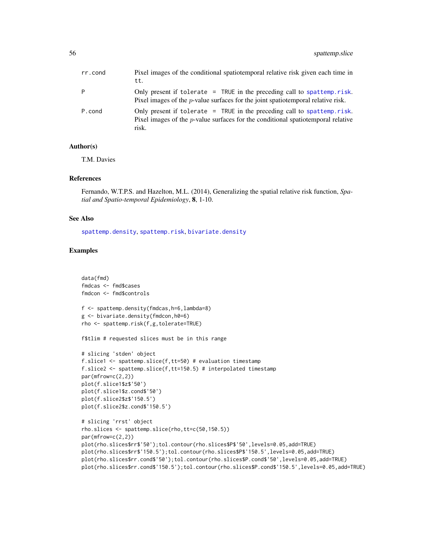<span id="page-55-0"></span>

| rr.cond | Pixel images of the conditional spatiolemporal relative risk given each time in<br>tt.                                                                                          |
|---------|---------------------------------------------------------------------------------------------------------------------------------------------------------------------------------|
| P       | Only present if tolerate $=$ TRUE in the preceding call to spattemp. risk.<br>Pixel images of the $p$ -value surfaces for the joint spatiolemporal relative risk.               |
| P.cond  | Only present if tolerate $=$ TRUE in the preceding call to spattemp. risk.<br>Pixel images of the <i>p</i> -value surfaces for the conditional spatiolemporal relative<br>risk. |

#### Author(s)

T.M. Davies

#### References

Fernando, W.T.P.S. and Hazelton, M.L. (2014), Generalizing the spatial relative risk function, *Spatial and Spatio-temporal Epidemiology*, 8, 1-10.

#### See Also

[spattemp.density](#page-48-1), [spattemp.risk](#page-51-1), [bivariate.density](#page-7-1)

#### Examples

```
data(fmd)
fmdcas <- fmd$cases
fmdcon <- fmd$controls
f <- spattemp.density(fmdcas,h=6,lambda=8)
g <- bivariate.density(fmdcon,h0=6)
rho <- spattemp.risk(f,g,tolerate=TRUE)
f$tlim # requested slices must be in this range
# slicing 'stden' object
f.slice1 <- spattemp.slice(f,tt=50) # evaluation timestamp
f.slice2 <- spattemp.slice(f,tt=150.5) # interpolated timestamp
par(mfrow=c(2,2))
plot(f.slice1$z$'50')
plot(f.slice1$z.cond$'50')
plot(f.slice2$z$'150.5')
plot(f.slice2$z.cond$'150.5')
# slicing 'rrst' object
rho.slices <- spattemp.slice(rho,tt=c(50,150.5))
par(mfrow=c(2,2))
plot(rho.slices$rr$'50');tol.contour(rho.slices$P$'50',levels=0.05,add=TRUE)
plot(rho.slices$rr$'150.5');tol.contour(rho.slices$P$'150.5',levels=0.05,add=TRUE)
plot(rho.slices$rr.cond$'50');tol.contour(rho.slices$P.cond$'50',levels=0.05,add=TRUE)
plot(rho.slices$rr.cond$'150.5');tol.contour(rho.slices$P.cond$'150.5',levels=0.05,add=TRUE)
```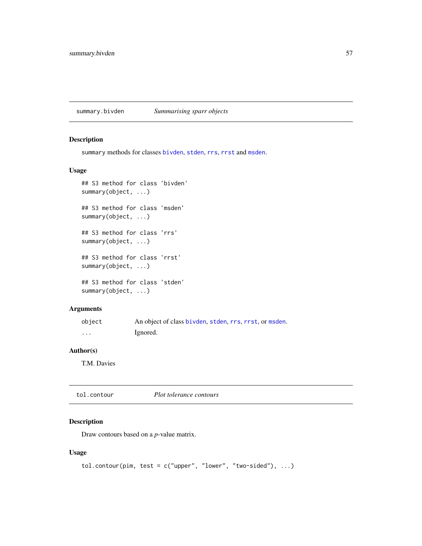<span id="page-56-2"></span><span id="page-56-0"></span>summary.bivden *Summarising sparr objects*

## <span id="page-56-3"></span>Description

summary methods for classes [bivden](#page-7-2), [stden](#page-48-2), [rrs](#page-43-2), [rrst](#page-51-2) and [msden](#page-28-2).

#### Usage

```
## S3 method for class 'bivden'
summary(object, ...)
## S3 method for class 'msden'
summary(object, ...)
## S3 method for class 'rrs'
summary(object, ...)
## S3 method for class 'rrst'
summary(object, ...)
## S3 method for class 'stden'
summary(object, ...)
```
## Arguments

| object | An object of class bivden, stden, rrs, rrst, or msden. |
|--------|--------------------------------------------------------|
| .      | Ignored.                                               |

## Author(s)

T.M. Davies

<span id="page-56-1"></span>tol.contour *Plot tolerance contours*

## Description

Draw contours based on a *p*-value matrix.

## Usage

```
tol.contour(pim, test = c("upper", "lower", "two-sided"), ...)
```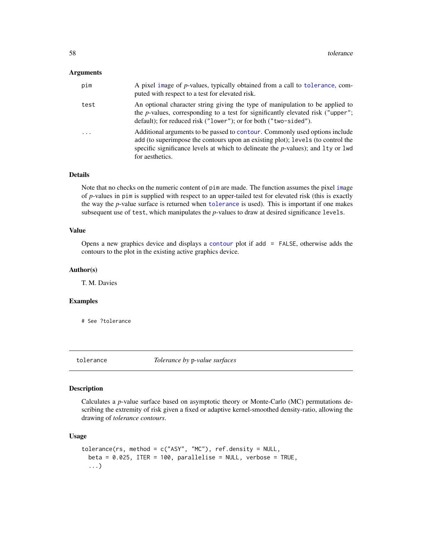### <span id="page-57-0"></span>Arguments

| pim                     | A pixel image of p-values, typically obtained from a call to tolerance, com-<br>puted with respect to a test for elevated risk.                                                                                                                                          |
|-------------------------|--------------------------------------------------------------------------------------------------------------------------------------------------------------------------------------------------------------------------------------------------------------------------|
| test                    | An optional character string giving the type of manipulation to be applied to<br>the $p$ -values, corresponding to a test for significantly elevated risk ("upper";<br>default); for reduced risk ("lower"); or for both ("two-sided").                                  |
| $\cdot$ $\cdot$ $\cdot$ | Additional arguments to be passed to contour. Commonly used options include<br>add (to superimpose the contours upon an existing plot); levels (to control the<br>specific significance levels at which to delineate the $p$ -values); and 1ty or 1wd<br>for aesthetics. |

## Details

Note that no checks on the numeric content of pim are made. The function assumes the pixel [im](#page-0-0)age of *p*-values in pim is supplied with respect to an upper-tailed test for elevated risk (this is exactly the way the *p*-value surface is returned when [tolerance](#page-57-1) is used). This is important if one makes subsequent use of test, which manipulates the *p*-values to draw at desired significance levels.

#### Value

Opens a new graphics device and displays a [contour](#page-0-0) plot if add = FALSE, otherwise adds the contours to the plot in the existing active graphics device.

## Author(s)

T. M. Davies

#### Examples

# See ?tolerance

<span id="page-57-1"></span>tolerance *Tolerance by* p*-value surfaces*

#### Description

Calculates a *p*-value surface based on asymptotic theory or Monte-Carlo (MC) permutations describing the extremity of risk given a fixed or adaptive kernel-smoothed density-ratio, allowing the drawing of *tolerance contours*.

#### Usage

```
tolerance(rs, method = c("ASY", "MC"), ref.density = NULL,
 beta = 0.025, ITER = 100, parallelise = NULL, verbose = TRUE,
  ...)
```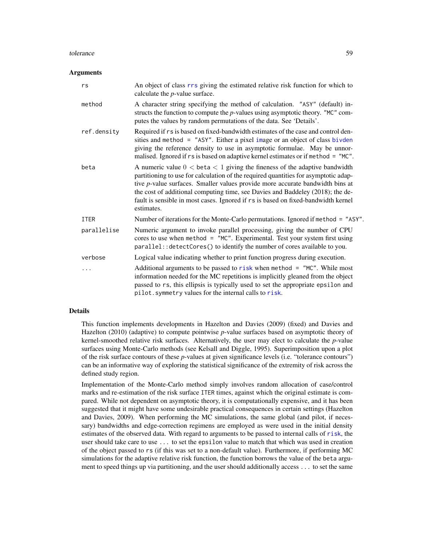#### <span id="page-58-0"></span>tolerance 59

#### Arguments

| rs          | An object of class rrs giving the estimated relative risk function for which to<br>calculate the $p$ -value surface.                                                                                                                                                                                                                                                                                                                               |
|-------------|----------------------------------------------------------------------------------------------------------------------------------------------------------------------------------------------------------------------------------------------------------------------------------------------------------------------------------------------------------------------------------------------------------------------------------------------------|
| method      | A character string specifying the method of calculation. "ASY" (default) in-<br>structs the function to compute the $p$ -values using asymptotic theory. "MC" com-<br>putes the values by random permutations of the data. See 'Details'.                                                                                                                                                                                                          |
| ref.density | Required if rs is based on fixed-bandwidth estimates of the case and control den-<br>sities and method = "ASY". Either a pixel image or an object of class bivden<br>giving the reference density to use in asymptotic formulae. May be unnor-<br>malised. Ignored if rs is based on adaptive kernel estimates or if method = "MC".                                                                                                                |
| beta        | A numeric value $0 < \beta < 1$ giving the fineness of the adaptive bandwidth<br>partitioning to use for calculation of the required quantities for asymptotic adap-<br>tive <i>p</i> -value surfaces. Smaller values provide more accurate bandwidth bins at<br>the cost of additional computing time, see Davies and Baddeley (2018); the de-<br>fault is sensible in most cases. Ignored if rs is based on fixed-bandwidth kernel<br>estimates. |
| <b>ITER</b> | Number of iterations for the Monte-Carlo permutations. Ignored if method = "ASY".                                                                                                                                                                                                                                                                                                                                                                  |
| parallelise | Numeric argument to invoke parallel processing, giving the number of CPU<br>cores to use when method = "MC". Experimental. Test your system first using<br>parallel:: detectCores() to identify the number of cores available to you.                                                                                                                                                                                                              |
| verbose     | Logical value indicating whether to print function progress during execution.                                                                                                                                                                                                                                                                                                                                                                      |
| .           | Additional arguments to be passed to risk when method = $"MC".$ While most<br>information needed for the MC repetitions is implicitly gleaned from the object<br>passed to rs, this ellipsis is typically used to set the appropriate epsilon and<br>pilot. symmetry values for the internal calls to risk.                                                                                                                                        |

## Details

This function implements developments in Hazelton and Davies (2009) (fixed) and Davies and Hazelton (2010) (adaptive) to compute pointwise *p*-value surfaces based on asymptotic theory of kernel-smoothed relative risk surfaces. Alternatively, the user may elect to calculate the *p*-value surfaces using Monte-Carlo methods (see Kelsall and Diggle, 1995). Superimposition upon a plot of the risk surface contours of these *p*-values at given significance levels (i.e. "tolerance contours") can be an informative way of exploring the statistical significance of the extremity of risk across the defined study region.

Implementation of the Monte-Carlo method simply involves random allocation of case/control marks and re-estimation of the risk surface ITER times, against which the original estimate is compared. While not dependent on asymptotic theory, it is computationally expensive, and it has been suggested that it might have some undesirable practical consequences in certain settings (Hazelton and Davies, 2009). When performing the MC simulations, the same global (and pilot, if necessary) bandwidths and edge-correction regimens are employed as were used in the initial density estimates of the observed data. With regard to arguments to be passed to internal calls of [risk](#page-43-1), the user should take care to use ... to set the epsilon value to match that which was used in creation of the object passed to rs (if this was set to a non-default value). Furthermore, if performing MC simulations for the adaptive relative risk function, the function borrows the value of the beta argument to speed things up via partitioning, and the user should additionally access ... to set the same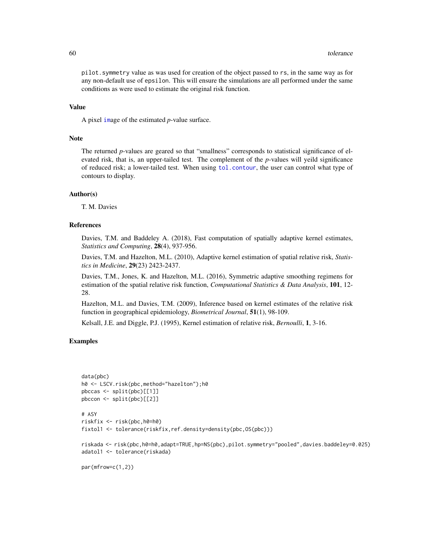<span id="page-59-0"></span>pilot.symmetry value as was used for creation of the object passed to rs, in the same way as for any non-default use of epsilon. This will ensure the simulations are all performed under the same conditions as were used to estimate the original risk function.

#### Value

A pixel [im](#page-0-0)age of the estimated *p*-value surface.

### Note

The returned *p*-values are geared so that "smallness" corresponds to statistical significance of elevated risk, that is, an upper-tailed test. The complement of the *p*-values will yeild significance of reduced risk; a lower-tailed test. When using [tol.contour](#page-56-1), the user can control what type of contours to display.

#### Author(s)

T. M. Davies

#### References

Davies, T.M. and Baddeley A. (2018), Fast computation of spatially adaptive kernel estimates, *Statistics and Computing*, 28(4), 937-956.

Davies, T.M. and Hazelton, M.L. (2010), Adaptive kernel estimation of spatial relative risk, *Statistics in Medicine*, 29(23) 2423-2437.

Davies, T.M., Jones, K. and Hazelton, M.L. (2016), Symmetric adaptive smoothing regimens for estimation of the spatial relative risk function, *Computational Statistics & Data Analysis*, 101, 12- 28.

Hazelton, M.L. and Davies, T.M. (2009), Inference based on kernel estimates of the relative risk function in geographical epidemiology, *Biometrical Journal*, 51(1), 98-109.

Kelsall, J.E. and Diggle, P.J. (1995), Kernel estimation of relative risk, *Bernoulli*, 1, 3-16.

## Examples

```
data(pbc)
h0 <- LSCV.risk(pbc,method="hazelton");h0
pbccas <- split(pbc)[[1]]
pbccon <- split(pbc)[[2]]
# ASY
riskfix <- risk(pbc,h0=h0)
fixtol1 <- tolerance(riskfix,ref.density=density(pbc,OS(pbc)))
riskada <- risk(pbc,h0=h0,adapt=TRUE,hp=NS(pbc),pilot.symmetry="pooled",davies.baddeley=0.025)
adatol1 <- tolerance(riskada)
par(mfrow=c(1,2))
```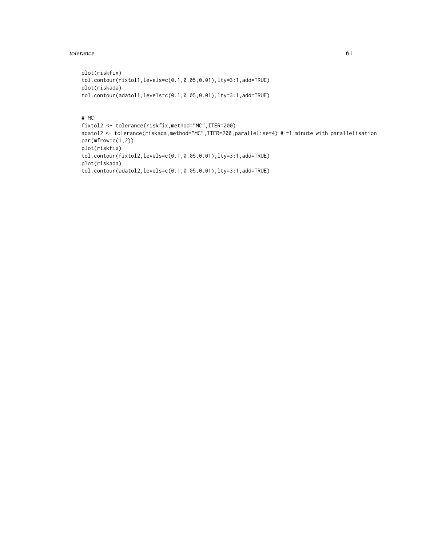#### tolerance 61

```
plot(riskfix)
tol.contour(fixtol1,levels=c(0.1,0.05,0.01),lty=3:1,add=TRUE)
plot(riskada)
tol.contour(adatol1,levels=c(0.1,0.05,0.01),lty=3:1,add=TRUE)
```
## # MC

```
fixtol2 <- tolerance(riskfix,method="MC",ITER=200)
adatol2 <- tolerance(riskada,method="MC",ITER=200,parallelise=4) # ~1 minute with parallelisation
par(mfrow=c(1,2))
plot(riskfix)
tol.contour(fixtol2,levels=c(0.1,0.05,0.01),lty=3:1,add=TRUE)
plot(riskada)
tol.contour(adatol2,levels=c(0.1,0.05,0.01),lty=3:1,add=TRUE)
```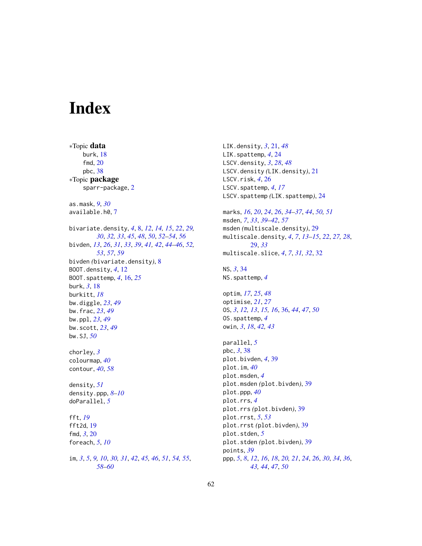# <span id="page-61-0"></span>Index

∗Topic data burk, [18](#page-17-0) fmd, [20](#page-19-0) pbc, [38](#page-37-0) ∗Topic package sparr-package, [2](#page-1-0) as.mask, *[9](#page-8-0)*, *[30](#page-29-0)* available.h0, [7](#page-6-0) bivariate.density, *[4](#page-3-0)*, [8,](#page-7-0) *[12](#page-11-0)*, *[14,](#page-13-0) [15](#page-14-0)*, *[22](#page-21-0)*, *[29,](#page-28-0) [30](#page-29-0)*, *[32,](#page-31-0) [33](#page-32-0)*, *[45](#page-44-0)*, *[48](#page-47-0)*, *[50](#page-49-0)*, *[52–](#page-51-0)[54](#page-53-0)*, *[56](#page-55-0)* bivden, *[13](#page-12-0)*, *[26](#page-25-0)*, *[31](#page-30-0)*, *[33](#page-32-0)*, *[39](#page-38-0)*, *[41,](#page-40-0) [42](#page-41-0)*, *[44–](#page-43-0)[46](#page-45-0)*, *[52,](#page-51-0) [53](#page-52-0)*, *[57](#page-56-0)*, *[59](#page-58-0)* bivden *(*bivariate.density*)*, [8](#page-7-0) BOOT.density, *[4](#page-3-0)*, [12](#page-11-0) BOOT.spattemp, *[4](#page-3-0)*, [16,](#page-15-0) *[25](#page-24-0)* burk, *[3](#page-2-0)*, [18](#page-17-0) burkitt, *[18](#page-17-0)* bw.diggle, *[23](#page-22-0)*, *[49](#page-48-0)* bw.frac, *[23](#page-22-0)*, *[49](#page-48-0)* bw.ppl, *[23](#page-22-0)*, *[49](#page-48-0)* bw.scott, *[23](#page-22-0)*, *[49](#page-48-0)* bw.SJ, *[50](#page-49-0)* chorley, *[3](#page-2-0)* colourmap, *[40](#page-39-0)* contour, *[40](#page-39-0)*, *[58](#page-57-0)* density, *[51](#page-50-0)* density.ppp, *[8](#page-7-0)[–10](#page-9-0)* doParallel, *[5](#page-4-0)* fft, *[19](#page-18-0)* fft2d, [19](#page-18-0) fmd, *[3](#page-2-0)*, [20](#page-19-0) foreach, *[5](#page-4-0)*, *[10](#page-9-0)* im, *[3](#page-2-0)*, *[5](#page-4-0)*, *[9,](#page-8-0) [10](#page-9-0)*, *[30,](#page-29-0) [31](#page-30-0)*, *[42](#page-41-0)*, *[45,](#page-44-0) [46](#page-45-0)*, *[51](#page-50-0)*, *[54,](#page-53-0) [55](#page-54-0)*, *[58](#page-57-0)[–60](#page-59-0)*

LIK.density, *[3](#page-2-0)*, [21,](#page-20-0) *[48](#page-47-0)* LIK.spattemp, *[4](#page-3-0)*, [24](#page-23-0) LSCV.density, *[3](#page-2-0)*, *[28](#page-27-0)*, *[48](#page-47-0)* LSCV.density *(*LIK.density*)*, [21](#page-20-0) LSCV.risk, *[4](#page-3-0)*, [26](#page-25-0) LSCV.spattemp, *[4](#page-3-0)*, *[17](#page-16-0)* LSCV.spattemp *(*LIK.spattemp*)*, [24](#page-23-0) marks, *[16](#page-15-0)*, *[20](#page-19-0)*, *[24](#page-23-0)*, *[26](#page-25-0)*, *[34](#page-33-0)[–37](#page-36-0)*, *[44](#page-43-0)*, *[50,](#page-49-0) [51](#page-50-0)* msden, *[7](#page-6-0)*, *[33](#page-32-0)*, *[39](#page-38-0)[–42](#page-41-0)*, *[57](#page-56-0)* msden *(*multiscale.density*)*, [29](#page-28-0) multiscale.density, *[4](#page-3-0)*, *[7](#page-6-0)*, *[13](#page-12-0)[–15](#page-14-0)*, *[22](#page-21-0)*, *[27,](#page-26-0) [28](#page-27-0)*, [29,](#page-28-0) *[33](#page-32-0)* multiscale.slice, *[4](#page-3-0)*, *[7](#page-6-0)*, *[31,](#page-30-0) [32](#page-31-0)*, [32](#page-31-0) NS, *[3](#page-2-0)*, [34](#page-33-0) NS.spattemp, *[4](#page-3-0)* optim, *[17](#page-16-0)*, *[25](#page-24-0)*, *[48](#page-47-0)* optimise, *[21](#page-20-0)*, *[27](#page-26-0)* OS, *[3](#page-2-0)*, *[12,](#page-11-0) [13](#page-12-0)*, *[15,](#page-14-0) [16](#page-15-0)*, [36,](#page-35-0) *[44](#page-43-0)*, *[47](#page-46-0)*, *[50](#page-49-0)* OS.spattemp, *[4](#page-3-0)* owin, *[3](#page-2-0)*, *[18](#page-17-0)*, *[42,](#page-41-0) [43](#page-42-0)* parallel, *[5](#page-4-0)* pbc, *[3](#page-2-0)*, [38](#page-37-0) plot.bivden, *[4](#page-3-0)*, [39](#page-38-0) plot.im, *[40](#page-39-0)* plot.msden, *[4](#page-3-0)* plot.msden *(*plot.bivden*)*, [39](#page-38-0) plot.ppp, *[40](#page-39-0)* plot.rrs, *[4](#page-3-0)* plot.rrs *(*plot.bivden*)*, [39](#page-38-0) plot.rrst, *[5](#page-4-0)*, *[53](#page-52-0)* plot.rrst *(*plot.bivden*)*, [39](#page-38-0) plot.stden, *[5](#page-4-0)* plot.stden *(*plot.bivden*)*, [39](#page-38-0) points, *[39](#page-38-0)* ppp, *[5](#page-4-0)*, *[8](#page-7-0)*, *[12](#page-11-0)*, *[16](#page-15-0)*, *[18](#page-17-0)*, *[20,](#page-19-0) [21](#page-20-0)*, *[24](#page-23-0)*, *[26](#page-25-0)*, *[30](#page-29-0)*, *[34](#page-33-0)*, *[36](#page-35-0)*, *[43,](#page-42-0) [44](#page-43-0)*, *[47](#page-46-0)*, *[50](#page-49-0)*